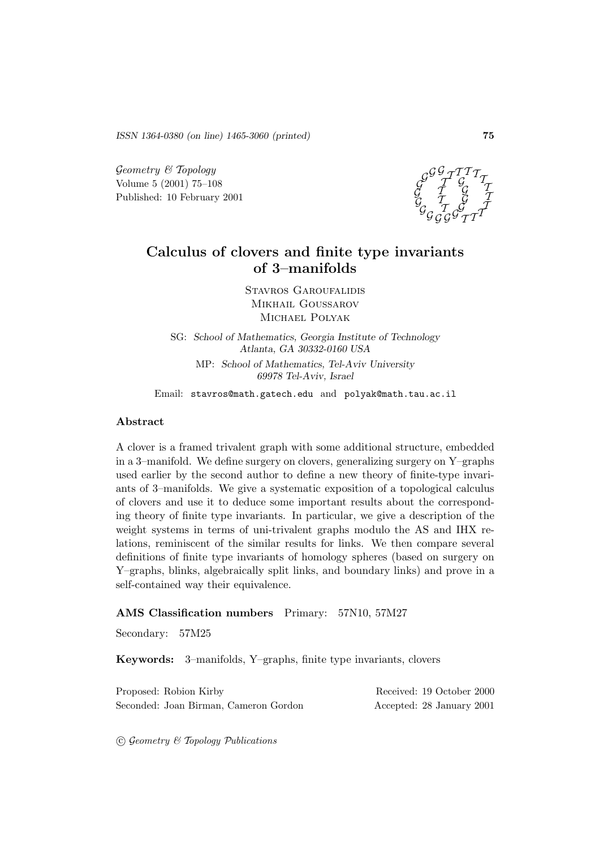*ISSN 1364-0380 (on line) 1465-3060 (printed)* **75**

 $Geometry \& Topology$ Volume 5 (2001) 75–108 Published: 10 February 2001



### **Calculus of clovers and finite type invariants of 3–manifolds**

Stavros Garoufalidis MIKHAIL GOUSSAROV Michael Polyak

SG: *School of Mathematics, Georgia Institute of Technology Atlanta, GA 30332-0160 USA* MP: *School of Mathematics, Tel-Aviv University 69978 Tel-Aviv, Israel*

Email: stavros@math.gatech.edu and polyak@math.tau.ac.il

#### **Abstract**

A clover is a framed trivalent graph with some additional structure, embedded in a 3–manifold. We define surgery on clovers, generalizing surgery on Y–graphs used earlier by the second author to define a new theory of finite-type invariants of 3–manifolds. We give a systematic exposition of a topological calculus of clovers and use it to deduce some important results about the corresponding theory of finite type invariants. In particular, we give a description of the weight systems in terms of uni-trivalent graphs modulo the AS and IHX relations, reminiscent of the similar results for links. We then compare several definitions of finite type invariants of homology spheres (based on surgery on Y–graphs, blinks, algebraically split links, and boundary links) and prove in a self-contained way their equivalence.

#### **AMS Classification numbers** Primary: 57N10, 57M27

Secondary: 57M25

**Keywords:** 3–manifolds, Y–graphs, finite type invariants, clovers

| Proposed: Robion Kirby |                                       | Received: 19 October 2000 |  |
|------------------------|---------------------------------------|---------------------------|--|
|                        | Seconded: Joan Birman, Cameron Gordon | Accepted: 28 January 2001 |  |

 $\odot$  Geometry & Topology Publications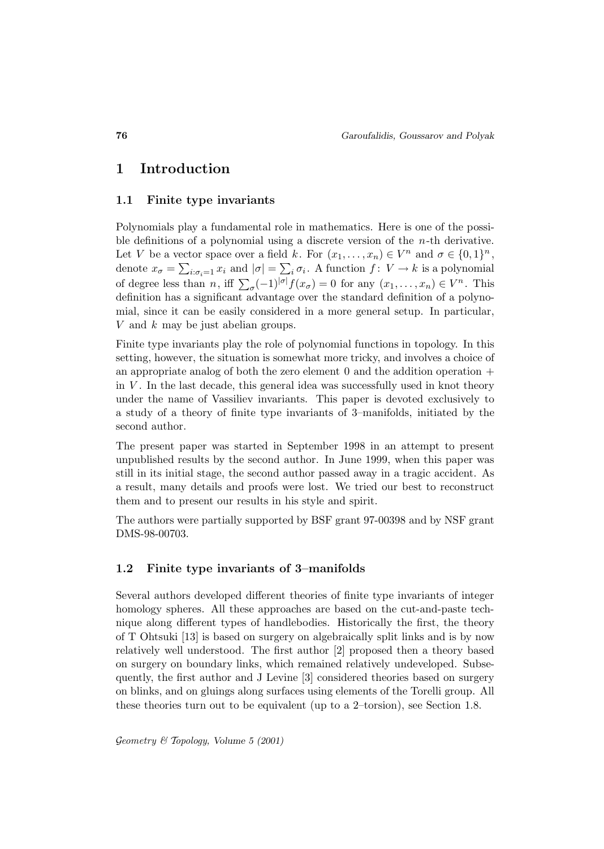### **1 Introduction**

#### **1.1 Finite type invariants**

Polynomials play a fundamental role in mathematics. Here is one of the possible definitions of a polynomial using a discrete version of the n-th derivative. Let V be a vector space over a field k. For  $(x_1, \ldots, x_n) \in V^n$  and  $\sigma \in \{0,1\}^n$ , denote  $x_{\sigma} = \sum_{i:\sigma_i=1} x_i$  and  $|\sigma| = \sum_i \sigma_i$ . A function  $f: V \to k$  is a polynomial of degree less than *n*, iff  $\sum_{\sigma}(-1)^{|\sigma|}f(x_{\sigma})=0$  for any  $(x_1,\ldots,x_n)\in V^n$ . This definition has a significant advantage over the standard definition of a polynomial, since it can be easily considered in a more general setup. In particular, V and k may be just abelian groups.

Finite type invariants play the role of polynomial functions in topology. In this setting, however, the situation is somewhat more tricky, and involves a choice of an appropriate analog of both the zero element  $0$  and the addition operation  $+$ in  $V$ . In the last decade, this general idea was successfully used in knot theory under the name of Vassiliev invariants. This paper is devoted exclusively to a study of a theory of finite type invariants of 3–manifolds, initiated by the second author.

The present paper was started in September 1998 in an attempt to present unpublished results by the second author. In June 1999, when this paper was still in its initial stage, the second author passed away in a tragic accident. As a result, many details and proofs were lost. We tried our best to reconstruct them and to present our results in his style and spirit.

The authors were partially supported by BSF grant 97-00398 and by NSF grant DMS-98-00703.

#### **1.2 Finite type invariants of 3–manifolds**

Several authors developed different theories of finite type invariants of integer homology spheres. All these approaches are based on the cut-and-paste technique along different types of handlebodies. Historically the first, the theory of T Ohtsuki [13] is based on surgery on algebraically split links and is by now relatively well understood. The first author [2] proposed then a theory based on surgery on boundary links, which remained relatively undeveloped. Subsequently, the first author and J Levine [3] considered theories based on surgery on blinks, and on gluings along surfaces using elements of the Torelli group. All these theories turn out to be equivalent (up to a 2–torsion), see Section 1.8.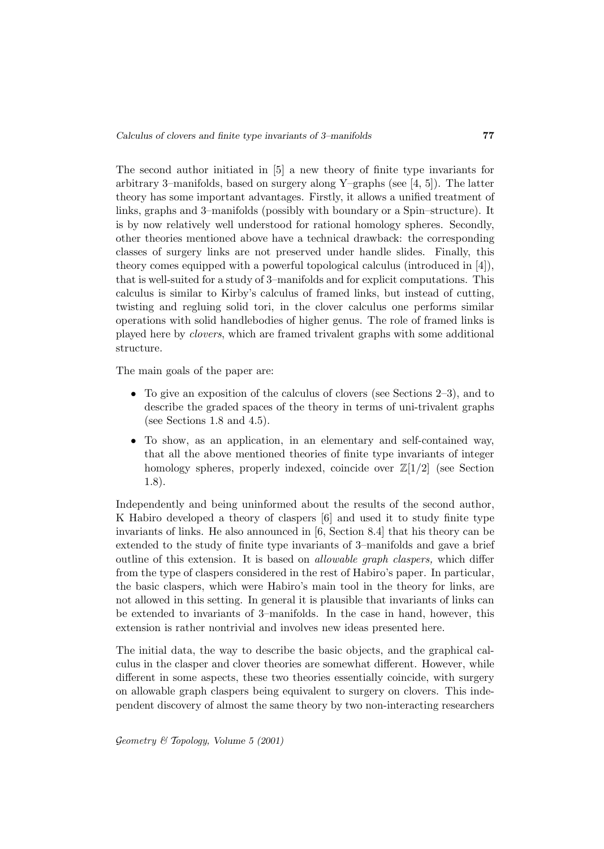The second author initiated in [5] a new theory of finite type invariants for arbitrary 3–manifolds, based on surgery along Y–graphs (see  $[4, 5]$ ). The latter theory has some important advantages. Firstly, it allows a unified treatment of links, graphs and 3–manifolds (possibly with boundary or a Spin–structure). It is by now relatively well understood for rational homology spheres. Secondly, other theories mentioned above have a technical drawback: the corresponding classes of surgery links are not preserved under handle slides. Finally, this theory comes equipped with a powerful topological calculus (introduced in [4]), that is well-suited for a study of 3–manifolds and for explicit computations. This calculus is similar to Kirby's calculus of framed links, but instead of cutting, twisting and regluing solid tori, in the clover calculus one performs similar operations with solid handlebodies of higher genus. The role of framed links is played here by clovers, which are framed trivalent graphs with some additional structure.

The main goals of the paper are:

- To give an exposition of the calculus of clovers (see Sections  $2-3$ ), and to describe the graded spaces of the theory in terms of uni-trivalent graphs (see Sections 1.8 and 4.5).
- To show, as an application, in an elementary and self-contained way, that all the above mentioned theories of finite type invariants of integer homology spheres, properly indexed, coincide over  $\mathbb{Z}[1/2]$  (see Section 1.8).

Independently and being uninformed about the results of the second author, K Habiro developed a theory of claspers [6] and used it to study finite type invariants of links. He also announced in [6, Section 8.4] that his theory can be extended to the study of finite type invariants of 3–manifolds and gave a brief outline of this extension. It is based on allowable graph claspers, which differ from the type of claspers considered in the rest of Habiro's paper. In particular, the basic claspers, which were Habiro's main tool in the theory for links, are not allowed in this setting. In general it is plausible that invariants of links can be extended to invariants of 3–manifolds. In the case in hand, however, this extension is rather nontrivial and involves new ideas presented here.

The initial data, the way to describe the basic objects, and the graphical calculus in the clasper and clover theories are somewhat different. However, while different in some aspects, these two theories essentially coincide, with surgery on allowable graph claspers being equivalent to surgery on clovers. This independent discovery of almost the same theory by two non-interacting researchers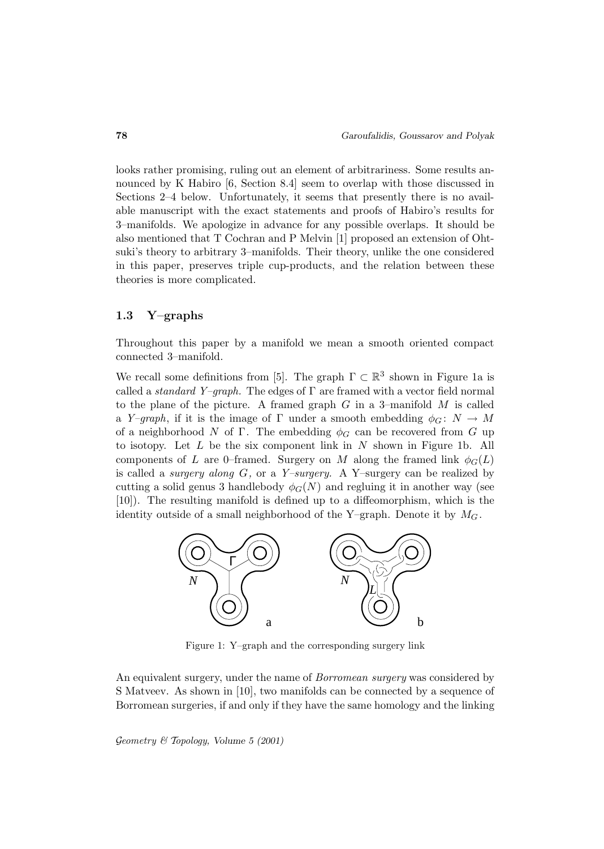looks rather promising, ruling out an element of arbitrariness. Some results announced by K Habiro [6, Section 8.4] seem to overlap with those discussed in Sections 2–4 below. Unfortunately, it seems that presently there is no available manuscript with the exact statements and proofs of Habiro's results for 3–manifolds. We apologize in advance for any possible overlaps. It should be also mentioned that T Cochran and P Melvin [1] proposed an extension of Ohtsuki's theory to arbitrary 3–manifolds. Their theory, unlike the one considered in this paper, preserves triple cup-products, and the relation between these theories is more complicated.

#### **1.3 Y–graphs**

Throughout this paper by a manifold we mean a smooth oriented compact connected 3–manifold.

We recall some definitions from [5]. The graph  $\Gamma \subset \mathbb{R}^3$  shown in Figure 1a is called a *standard Y–graph*. The edges of  $\Gamma$  are framed with a vector field normal to the plane of the picture. A framed graph  $G$  in a 3-manifold  $M$  is called a Y–graph, if it is the image of  $\Gamma$  under a smooth embedding  $\phi_G: N \to M$ of a neighborhood N of Γ. The embedding  $\phi_G$  can be recovered from G up to isotopy. Let  $L$  be the six component link in  $N$  shown in Figure 1b. All components of L are 0–framed. Surgery on M along the framed link  $\phi_G(L)$ is called a *surgery along*  $G$ , or a *Y–surgery*. A Y–surgery can be realized by cutting a solid genus 3 handlebody  $\phi_G(N)$  and regluing it in another way (see [10]). The resulting manifold is defined up to a diffeomorphism, which is the identity outside of a small neighborhood of the Y–graph. Denote it by  $M_G$ .



Figure 1: Y–graph and the corresponding surgery link

An equivalent surgery, under the name of *Borromean surgery* was considered by S Matveev. As shown in [10], two manifolds can be connected by a sequence of Borromean surgeries, if and only if they have the same homology and the linking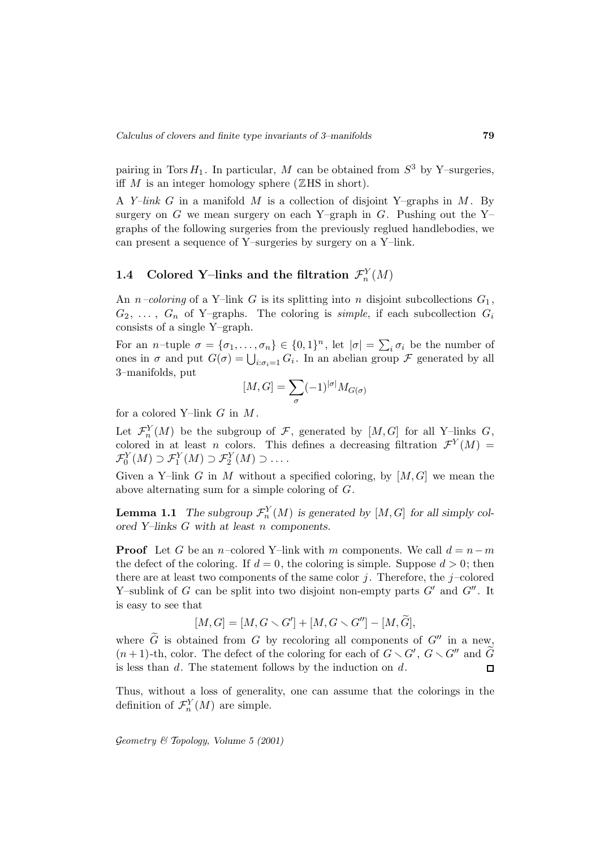pairing in Tors  $H_1$ . In particular, M can be obtained from  $S^3$  by Y–surgeries, iff M is an integer homology sphere ( $\mathbb Z$ HS in short).

A Y-link G in a manifold M is a collection of disjoint Y-graphs in M. By surgery on G we mean surgery on each Y–graph in G. Pushing out the Y– graphs of the following surgeries from the previously reglued handlebodies, we can present a sequence of Y–surgeries by surgery on a Y–link.

# **1.4** Colored Y-links and the filtration  $\mathcal{F}_n^Y(M)$

An *n*–coloring of a Y–link G is its splitting into *n* disjoint subcollections  $G_1$ ,  $G_2, \ldots, G_n$  of Y–graphs. The coloring is *simple*, if each subcollection  $G_i$ consists of a single Y–graph.

For an *n*-tuple  $\sigma = {\sigma_1, ..., \sigma_n} \in {0, 1}^n$ , let  $|\sigma| = \sum_i \sigma_i$  be the number of ones in  $\sigma$  and put  $G(\sigma) = \bigcup_{i:\sigma_i=1} G_i$ . In an abelian group  $\mathcal F$  generated by all 3–manifolds, put

$$
[M,G]=\sum_{\sigma}(-1)^{|\sigma|}M_{G(\sigma)}
$$

for a colored Y-link  $G$  in  $M$ .

Let  $\mathcal{F}_n^Y(M)$  be the subgroup of  $\mathcal{F}$ , generated by  $[M,G]$  for all Y-links  $G$ , colored in at least n colors. This defines a decreasing filtration  $\mathcal{F}^{Y}(M) =$  $\mathcal{F}_0^Y(M) \supset \mathcal{F}_1^Y(M) \supset \mathcal{F}_2^Y(M) \supset \ldots$ 

Given a Y–link G in M without a specified coloring, by  $[M, G]$  we mean the above alternating sum for a simple coloring of G.

**Lemma 1.1** *The subgroup*  $\mathcal{F}_n^Y(M)$  *is generated by*  $[M, G]$  *for all simply colored Y–links* G *with at least* n *components.*

**Proof** Let G be an n–colored Y–link with m components. We call  $d = n-m$ the defect of the coloring. If  $d = 0$ , the coloring is simple. Suppose  $d > 0$ ; then there are at least two components of the same color  $j$ . Therefore, the j-colored Y-sublink of G can be split into two disjoint non-empty parts  $G'$  and  $G''$ . It is easy to see that

$$
[M, G] = [M, G \setminus G'] + [M, G \setminus G''] - [M, G],
$$

where G is obtained from G by recoloring all components of  $G''$  in a new,  $(n+1)$ -th, color. The defect of the coloring for each of  $G \setminus G'$ ,  $G \setminus G''$  and  $G$ is less than  $d$ . The statement follows by the induction on  $d$ .

Thus, without a loss of generality, one can assume that the colorings in the definition of  $\mathcal{F}_n^Y(M)$  are simple.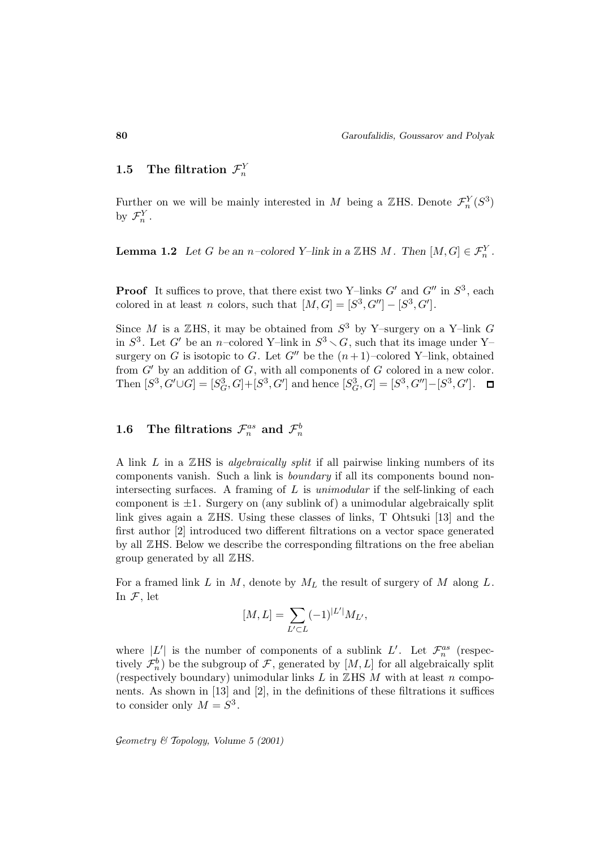# **1.5** The filtration  $\mathcal{F}_n^Y$

Further on we will be mainly interested in M being a ZHS. Denote  $\mathcal{F}_n^Y(S^3)$ by  $\mathcal{F}_n^Y$ .

**Lemma 1.2** *Let* G *be an n*–colored Y–link in a  $\mathbb{Z}$ HS *M*. Then  $[M, G] \in \mathcal{F}_n^Y$ .

**Proof** It suffices to prove, that there exist two Y–links  $G'$  and  $G''$  in  $S^3$ , each colored in at least n colors, such that  $[M, G] = [S^3, G''] - [S^3, G']$ .

Since  $M$  is a  $\mathbb Z$ HS, it may be obtained from  $S^3$  by Y–surgery on a Y–link  $G$ in  $S^3$ . Let G' be an n–colored Y–link in  $S^3 \setminus G$ , such that its image under Y– surgery on G is isotopic to G. Let  $G''$  be the  $(n+1)$ –colored Y–link, obtained from  $G'$  by an addition of  $G$ , with all components of  $G$  colored in a new color. Then  $[S^3, G' \cup G] = [S_G^3, G] + [S^3, G']$  and hence  $[S_G^3, G] = [S^3, G''] - [S^3, G']$ .

# $1.6$  The filtrations  $\mathcal{F}^{as}_{n}$  and  $\mathcal{F}^{b}_{n}$

A link  $L$  in a  $\mathbb{Z}$ HS is *algebraically split* if all pairwise linking numbers of its components vanish. Such a link is boundary if all its components bound nonintersecting surfaces. A framing of  $L$  is *unimodular* if the self-linking of each component is  $\pm 1$ . Surgery on (any sublink of) a unimodular algebraically split link gives again a ZHS. Using these classes of links, T Ohtsuki [13] and the first author [2] introduced two different filtrations on a vector space generated by all ZHS. Below we describe the corresponding filtrations on the free abelian group generated by all ZHS.

For a framed link L in M, denote by  $M_L$  the result of surgery of M along L. In  $\mathcal{F}$ , let

$$
[M,L] = \sum_{L' \subset L} (-1)^{|L'|} M_{L'},
$$

where  $|L'|$  is the number of components of a sublink  $L'$ . Let  $\mathcal{F}_n^{as}$  (respectively  $\mathcal{F}_n^b$ ) be the subgroup of  $\mathcal{F}$ , generated by  $[M, L]$  for all algebraically split (respectively boundary) unimodular links  $L$  in  $\mathbb{Z}$ HS  $M$  with at least  $n$  components. As shown in [13] and [2], in the definitions of these filtrations it suffices to consider only  $M = S^3$ .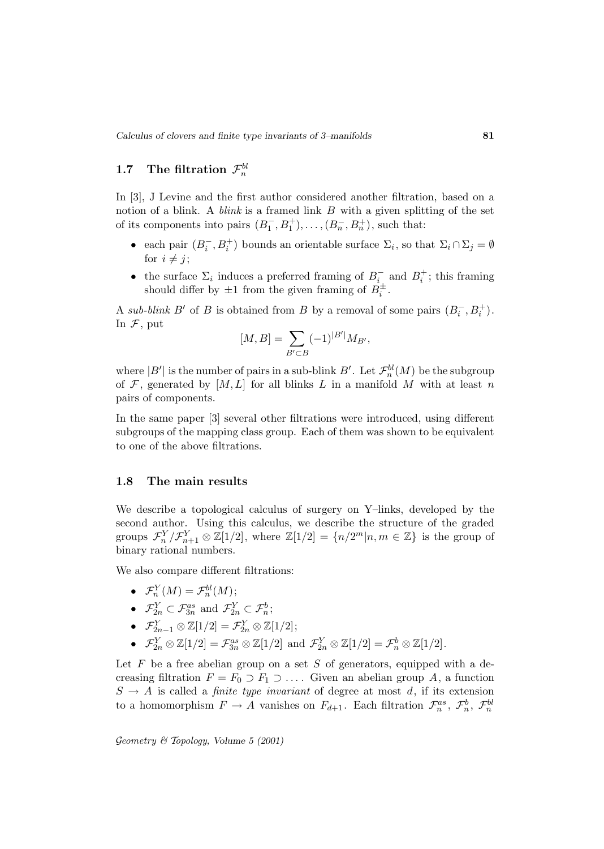# **1.7** The filtration  $\mathcal{F}_n^{bl}$

In [3], J Levine and the first author considered another filtration, based on a notion of a blink. A *blink* is a framed link  $B$  with a given splitting of the set of its components into pairs  $(B_1^-, B_1^+), \ldots, (B_n^-, B_n^+)$ , such that:

- each pair  $(B_i^-, B_i^+)$  bounds an orientable surface  $\Sigma_i$ , so that  $\Sigma_i \cap \Sigma_j = \emptyset$ for  $i \neq j$ :
- the surface  $\Sigma_i$  induces a preferred framing of  $B_i^-$  and  $B_i^+$ ; this framing should differ by  $\pm 1$  from the given framing of  $B_i^{\pm}$ .

A sub-blink B' of B is obtained from B by a removal of some pairs  $(B_i^-, B_i^+)$ . In  $\mathcal{F}$ , put

$$
[M, B] = \sum_{B' \subset B} (-1)^{|B'|} M_{B'},
$$

where  $|B'|$  is the number of pairs in a sub-blink  $B'.$  Let  $\mathcal{F}_n^{bl}(M)$  be the subgroup of  $F$ , generated by  $[M, L]$  for all blinks L in a manifold M with at least n pairs of components.

In the same paper [3] several other filtrations were introduced, using different subgroups of the mapping class group. Each of them was shown to be equivalent to one of the above filtrations.

#### **1.8 The main results**

We describe a topological calculus of surgery on Y–links, developed by the second author. Using this calculus, we describe the structure of the graded groups  $\mathcal{F}_n^Y/\mathcal{F}_{n+1}^Y\otimes \mathbb{Z}[1/2]$ , where  $\mathbb{Z}[1/2]=\{n/2^m|n,m\in\mathbb{Z}\}$  is the group of binary rational numbers.

We also compare different filtrations:

- $\mathcal{F}_n^Y(M) = \mathcal{F}_n^{bl}(M);$
- $\mathcal{F}_{2n}^Y \subset \mathcal{F}_{3n}^{as}$  and  $\mathcal{F}_{2n}^Y \subset \mathcal{F}_n^b$ ;
- $\mathcal{F}_{2n-1}^Y\otimes \mathbb{Z}[1/2] = \mathcal{F}_{2n}^Y\otimes \mathbb{Z}[1/2];$
- $\mathcal{F}_{2n}^Y \otimes \mathbb{Z}[1/2] = \mathcal{F}_{3n}^{as} \otimes \mathbb{Z}[1/2]$  and  $\mathcal{F}_{2n}^Y \otimes \mathbb{Z}[1/2] = \mathcal{F}_n^b \otimes \mathbb{Z}[1/2]$ .

Let  $F$  be a free abelian group on a set  $S$  of generators, equipped with a decreasing filtration  $F = F_0 \supset F_1 \supset \ldots$ . Given an abelian group A, a function  $S \rightarrow A$  is called a *finite type invariant* of degree at most d, if its extension to a homomorphism  $F \to A$  vanishes on  $F_{d+1}$ . Each filtration  $\mathcal{F}_n^{as}, \mathcal{F}_n^b, \mathcal{F}_n^{bl}$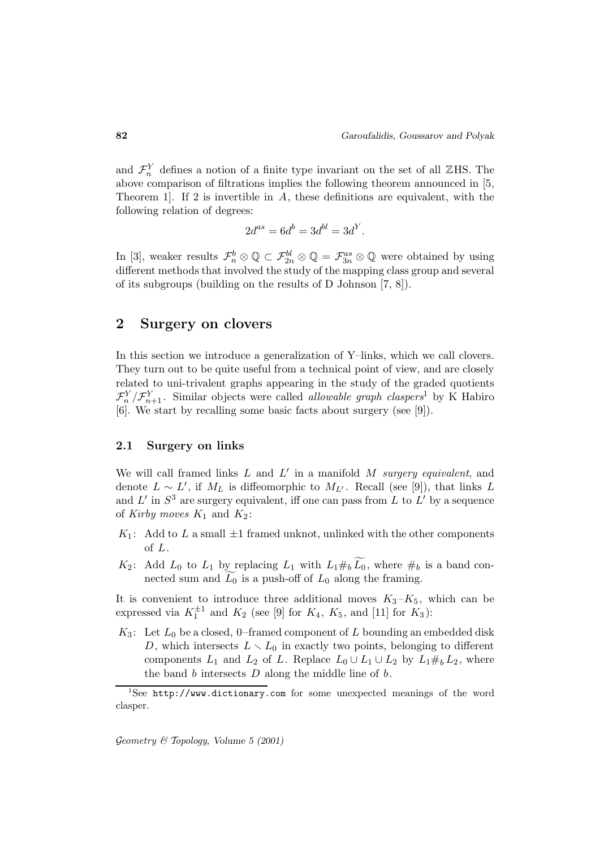and  $\mathcal{F}_n^Y$  defines a notion of a finite type invariant on the set of all ZHS. The above comparison of filtrations implies the following theorem announced in [5, Theorem 1. If 2 is invertible in  $A$ , these definitions are equivalent, with the following relation of degrees:

$$
2d^{as}=6d^b=3d^{bl}=3d^Y.
$$

In [3], weaker results  $\mathcal{F}_n^b \otimes \mathbb{Q} \subset \mathcal{F}_{2n}^{bl} \otimes \mathbb{Q} = \mathcal{F}_{3n}^{as} \otimes \mathbb{Q}$  were obtained by using different methods that involved the study of the mapping class group and several of its subgroups (building on the results of D Johnson [7, 8]).

### **2 Surgery on clovers**

In this section we introduce a generalization of Y–links, which we call clovers. They turn out to be quite useful from a technical point of view, and are closely related to uni-trivalent graphs appearing in the study of the graded quotients  $\mathcal{F}_n^Y/\mathcal{F}_{n+1}^Y$ . Similar objects were called *allowable graph claspers*<sup>1</sup> by K Habiro [6]. We start by recalling some basic facts about surgery (see [9]).

#### **2.1 Surgery on links**

We will call framed links  $L$  and  $L'$  in a manifold  $M$  surgery equivalent, and denote  $L \sim L'$ , if  $M_L$  is diffeomorphic to  $M_{L'}$ . Recall (see [9]), that links L and  $L'$  in  $S^3$  are surgery equivalent, iff one can pass from L to  $L'$  by a sequence of Kirby moves  $K_1$  and  $K_2$ :

- $K_1$ : Add to L a small  $\pm 1$  framed unknot, unlinked with the other components of L.
- $K_2$ : Add  $L_0$  to  $L_1$  by replacing  $L_1$  with  $L_1 \#_b L_0$ , where  $\#_b$  is a band connected sum and  $L_0$  is a push-off of  $L_0$  along the framing.

It is convenient to introduce three additional moves  $K_3-K_5$ , which can be expressed via  $K_1^{\pm 1}$  and  $K_2$  (see [9] for  $K_4$ ,  $K_5$ , and [11] for  $K_3$ ):

 $K_3$ : Let  $L_0$  be a closed, 0–framed component of L bounding an embedded disk D, which intersects  $L \setminus L_0$  in exactly two points, belonging to different components  $L_1$  and  $L_2$  of L. Replace  $L_0 \cup L_1 \cup L_2$  by  $L_1 \#_b L_2$ , where the band  $b$  intersects  $D$  along the middle line of  $b$ .

<sup>&</sup>lt;sup>1</sup>See http://www.dictionary.com for some unexpected meanings of the word clasper.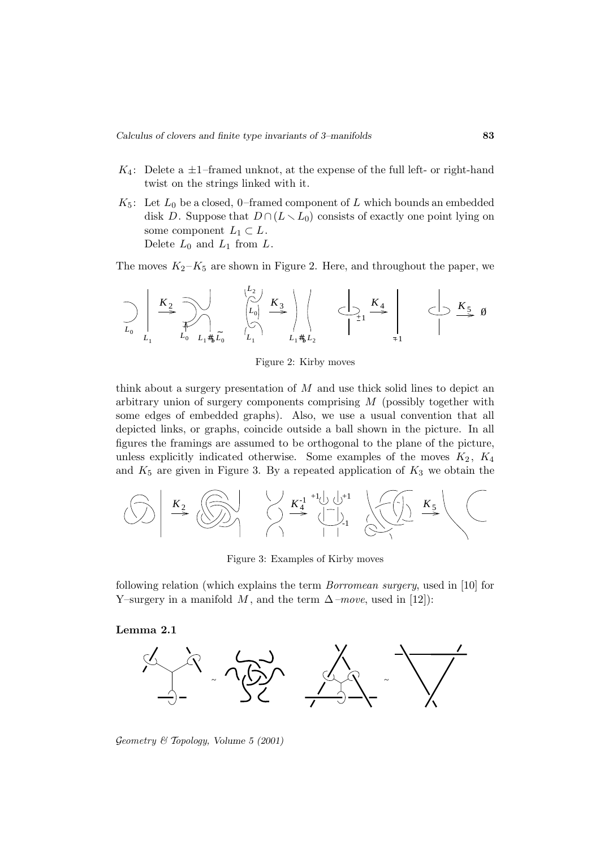- $K_4$ : Delete a  $\pm 1$ -framed unknot, at the expense of the full left- or right-hand twist on the strings linked with it.
- $K_5$ : Let  $L_0$  be a closed, 0-framed component of L which bounds an embedded disk D. Suppose that  $D \cap (L \setminus L_0)$  consists of exactly one point lying on some component  $L_1 \subset L$ . Delete  $L_0$  and  $L_1$  from  $L$ .

The moves  $K_2-K_5$  are shown in Figure 2. Here, and throughout the paper, we

$$
\bigcup_{L_0} \left| \begin{array}{ccc} K_2 & \searrow & \searrow & \searrow \\ \searrow & \searrow & \searrow & \searrow & \searrow & \searrow \\ L_0 & \searrow & \searrow & \searrow & \searrow & \searrow \\ L_1 & L_0 & \searrow & \searrow & \searrow & \searrow \\ L_1 & \searrow & \searrow & \searrow & \searrow & \searrow \\ L_1 & \searrow & \searrow & \searrow & \searrow & \searrow \\ L_1 & \searrow & \searrow & \searrow & \searrow & \searrow \end{array} \right\}
$$

Figure 2: Kirby moves

think about a surgery presentation of  $M$  and use thick solid lines to depict an arbitrary union of surgery components comprising M (possibly together with some edges of embedded graphs). Also, we use a usual convention that all depicted links, or graphs, coincide outside a ball shown in the picture. In all figures the framings are assumed to be orthogonal to the plane of the picture, unless explicitly indicated otherwise. Some examples of the moves  $K_2$ ,  $K_4$ and  $K_5$  are given in Figure 3. By a repeated application of  $K_3$  we obtain the



Figure 3: Examples of Kirby moves

following relation (which explains the term Borromean surgery, used in [10] for Y–surgery in a manifold M, and the term  $\Delta$ –move, used in [12]):

**Lemma 2.1**



Geometry & Topology*, Volume 5 (2001)*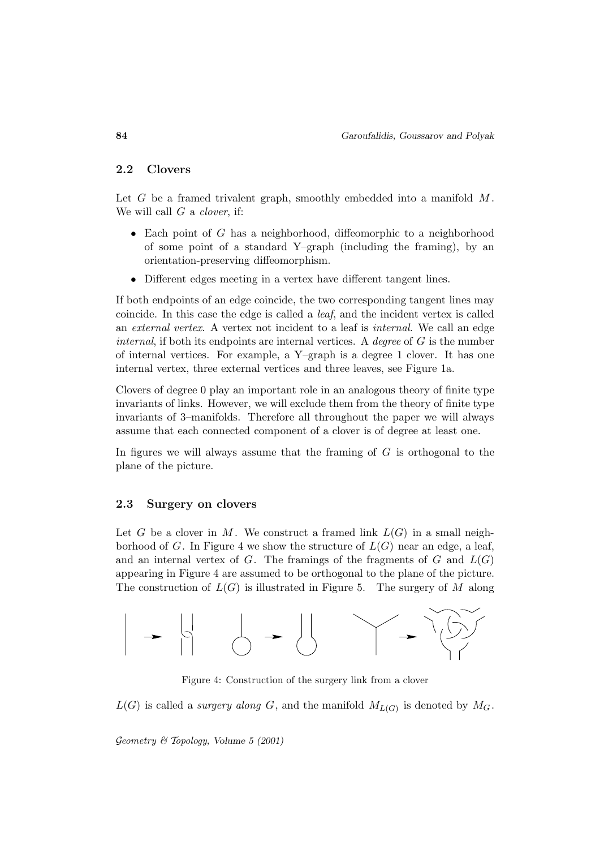#### **2.2 Clovers**

Let  $G$  be a framed trivalent graph, smoothly embedded into a manifold  $M$ . We will call  $G$  a *clover*, if:

- Each point of  $G$  has a neighborhood, diffeomorphic to a neighborhood of some point of a standard Y–graph (including the framing), by an orientation-preserving diffeomorphism.
- Different edges meeting in a vertex have different tangent lines.

If both endpoints of an edge coincide, the two corresponding tangent lines may coincide. In this case the edge is called a leaf, and the incident vertex is called an external vertex. A vertex not incident to a leaf is internal. We call an edge *internal*, if both its endpoints are internal vertices. A *degree* of  $G$  is the number of internal vertices. For example, a Y–graph is a degree 1 clover. It has one internal vertex, three external vertices and three leaves, see Figure 1a.

Clovers of degree 0 play an important role in an analogous theory of finite type invariants of links. However, we will exclude them from the theory of finite type invariants of 3–manifolds. Therefore all throughout the paper we will always assume that each connected component of a clover is of degree at least one.

In figures we will always assume that the framing of  $G$  is orthogonal to the plane of the picture.

#### **2.3 Surgery on clovers**

Let G be a clover in M. We construct a framed link  $L(G)$  in a small neighborhood of G. In Figure 4 we show the structure of  $L(G)$  near an edge, a leaf, and an internal vertex of  $G$ . The framings of the fragments of  $G$  and  $L(G)$ appearing in Figure 4 are assumed to be orthogonal to the plane of the picture. The construction of  $L(G)$  is illustrated in Figure 5. The surgery of M along



Figure 4: Construction of the surgery link from a clover

 $L(G)$  is called a *surgery along* G, and the manifold  $M_{L(G)}$  is denoted by  $M_G$ .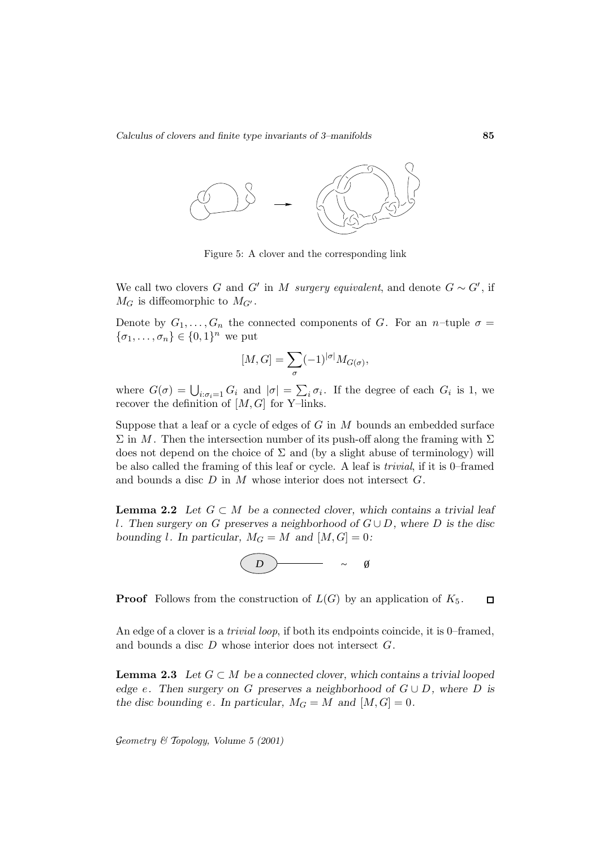

Figure 5: A clover and the corresponding link

We call two clovers G and G' in M surgery equivalent, and denote  $G \sim G'$ , if  $M_G$  is diffeomorphic to  $M_{G'}$ .

Denote by  $G_1, \ldots, G_n$  the connected components of G. For an n-tuple  $\sigma =$  $\{\sigma_1,\ldots,\sigma_n\}\in\{0,1\}^n$  we put

$$
[M,G]=\sum_{\sigma}(-1)^{|\sigma|}M_{G(\sigma)},
$$

where  $G(\sigma) = \bigcup_{i:\sigma_i=1} G_i$  and  $|\sigma| = \sum_i \sigma_i$ . If the degree of each  $G_i$  is 1, we recover the definition of  $[M, G]$  for Y–links.

Suppose that a leaf or a cycle of edges of  $G$  in  $M$  bounds an embedded surface  $\Sigma$  in M. Then the intersection number of its push-off along the framing with  $\Sigma$ does not depend on the choice of  $\Sigma$  and (by a slight abuse of terminology) will be also called the framing of this leaf or cycle. A leaf is trivial, if it is 0–framed and bounds a disc  $D$  in  $M$  whose interior does not intersect  $G$ .

**Lemma 2.2** *Let*  $G \subset M$  *be a connected clover, which contains a trivial leaf* l*. Then surgery on* G *preserves a neighborhood of* G ∪ D*, where* D *is the disc bounding l.* In particular,  $M_G = M$  and  $[M, G] = 0$ :



**Proof** Follows from the construction of  $L(G)$  by an application of  $K_5$ .  $\Box$ 

An edge of a clover is a *trivial loop*, if both its endpoints coincide, it is 0–framed, and bounds a disc D whose interior does not intersect G.

**Lemma 2.3** *Let*  $G \subset M$  *be a connected clover, which contains a trivial looped edge* e. Then surgery on G preserves a neighborhood of  $G \cup D$ , where D is *the disc bounding e.* In particular,  $M_G = M$  and  $[M, G] = 0$ .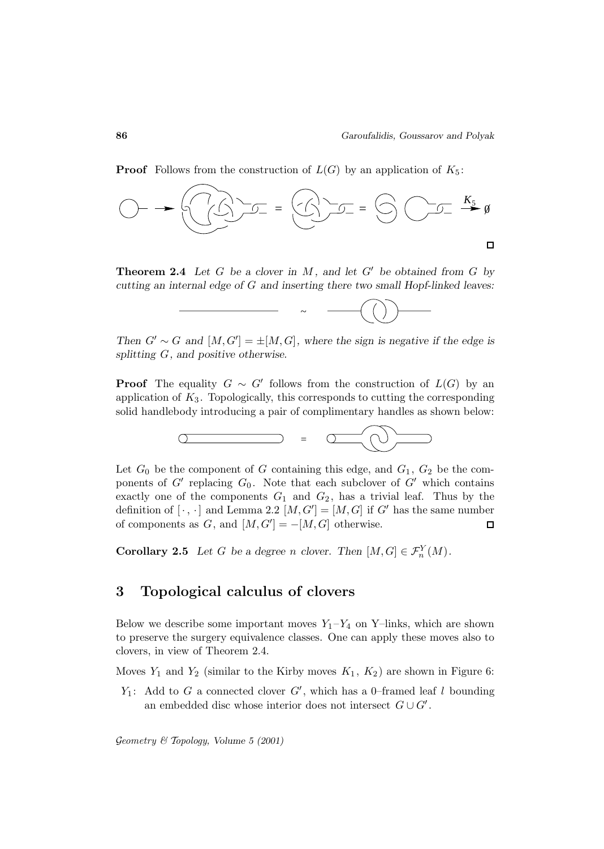**Proof** Follows from the construction of  $L(G)$  by an application of  $K_5$ :



**Theorem 2.4** Let G be a clover in M, and let  $G'$  be obtained from G by *cutting an internal edge of* G *and inserting there two small Hopf-linked leaves:*



*Then*  $G' \sim G$  *and*  $[M, G'] = \pm [M, G]$ *, where the sign is negative if the edge is splitting* G*, and positive otherwise.*

**Proof** The equality  $G \sim G'$  follows from the construction of  $L(G)$  by an application of  $K_3$ . Topologically, this corresponds to cutting the corresponding solid handlebody introducing a pair of complimentary handles as shown below:



Let  $G_0$  be the component of G containing this edge, and  $G_1, G_2$  be the components of  $G'$  replacing  $G_0$ . Note that each subclover of  $G'$  which contains exactly one of the components  $G_1$  and  $G_2$ , has a trivial leaf. Thus by the definition of  $[\cdot, \cdot]$  and Lemma 2.2  $[M, G'] = [M, G]$  if G' has the same number of components as  $G$ , and  $[M, G'] = -[M, G]$  otherwise.  $\Box$ 

**Corollary 2.5** *Let G be a degree n clover.* Then  $[M, G] \in \mathcal{F}_n^Y(M)$ *.* 

### **3 Topological calculus of clovers**

Below we describe some important moves  $Y_1 - Y_4$  on Y–links, which are shown to preserve the surgery equivalence classes. One can apply these moves also to clovers, in view of Theorem 2.4.

Moves  $Y_1$  and  $Y_2$  (similar to the Kirby moves  $K_1, K_2$ ) are shown in Figure 6:

 $Y_1$ : Add to G a connected clover  $G'$ , which has a 0-framed leaf l bounding an embedded disc whose interior does not intersect  $G \cup G'$ .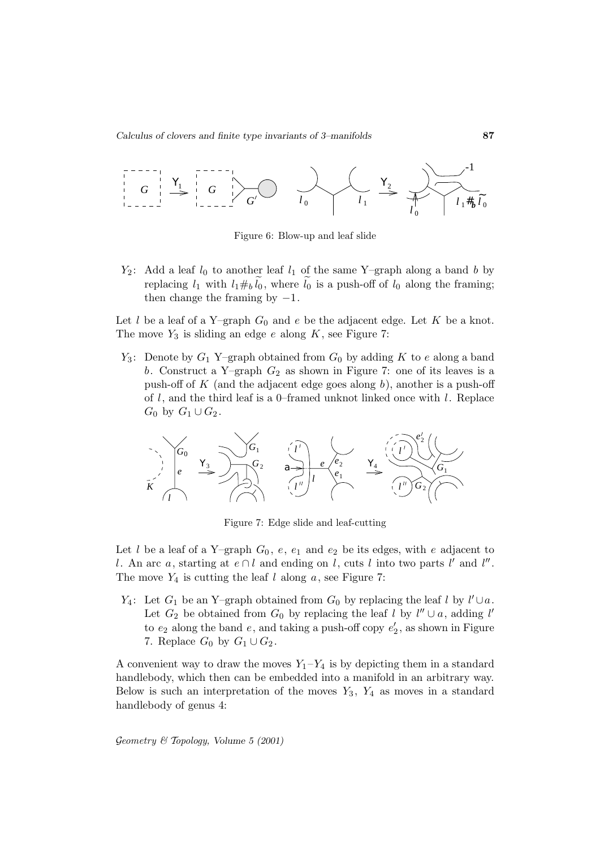

Figure 6: Blow-up and leaf slide

 $Y_2$ : Add a leaf  $l_0$  to another leaf  $l_1$  of the same Y–graph along a band b by replacing  $l_1$  with  $l_1 \#_b l_0$ , where  $l_0$  is a push-off of  $l_0$  along the framing; then change the framing by  $-1$ .

Let l be a leaf of a Y–graph  $G_0$  and e be the adjacent edge. Let K be a knot. The move  $Y_3$  is sliding an edge e along K, see Figure 7:

 $Y_3$ : Denote by  $G_1$  Y–graph obtained from  $G_0$  by adding K to e along a band b. Construct a Y–graph  $G_2$  as shown in Figure 7: one of its leaves is a push-off of  $K$  (and the adjacent edge goes along  $b$ ), another is a push-off of  $l$ , and the third leaf is a 0–framed unknot linked once with  $l$ . Replace  $G_0$  by  $G_1 \cup G_2$ .



Figure 7: Edge slide and leaf-cutting

Let l be a leaf of a Y–graph  $G_0$ , e,  $e_1$  and  $e_2$  be its edges, with e adjacent to l. An arc a, starting at  $e \cap l$  and ending on l, cuts l into two parts l' and l''. The move  $Y_4$  is cutting the leaf l along a, see Figure 7:

 $Y_4$ : Let  $G_1$  be an Y–graph obtained from  $G_0$  by replacing the leaf l by  $l' \cup a$ . Let  $G_2$  be obtained from  $G_0$  by replacing the leaf l by  $l'' \cup a$ , adding l' to  $e_2$  along the band  $e$ , and taking a push-off copy  $e'_2$ , as shown in Figure 7. Replace  $G_0$  by  $G_1 \cup G_2$ .

A convenient way to draw the moves  $Y_1 - Y_4$  is by depicting them in a standard handlebody, which then can be embedded into a manifold in an arbitrary way. Below is such an interpretation of the moves  $Y_3$ ,  $Y_4$  as moves in a standard handlebody of genus 4: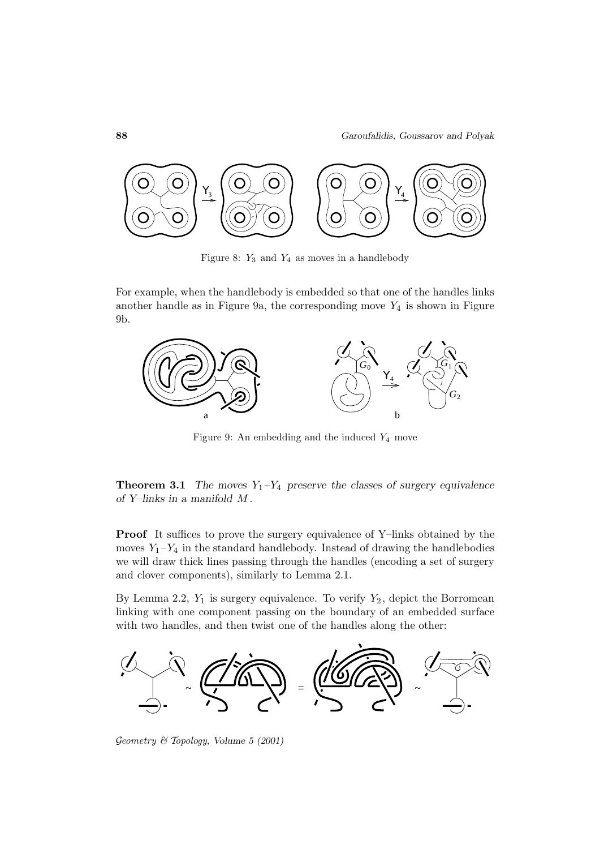

Figure 8:  $Y_3$  and  $Y_4$  as moves in a handlebody

For example, when the handlebody is embedded so that one of the handles links another handle as in Figure 9a, the corresponding move  $Y_4$  is shown in Figure 9b.



Figure 9: An embedding and the induced  $Y_4$  move

**Theorem 3.1** *The moves*  $Y_1 - Y_4$  *preserve the classes of surgery equivalence of Y–links in a manifold* M *.*

**Proof** It suffices to prove the surgery equivalence of Y–links obtained by the moves  $Y_1 - Y_4$  in the standard handlebody. Instead of drawing the handlebodies we will draw thick lines passing through the handles (encoding a set of surgery and clover components), similarly to Lemma 2.1.

By Lemma 2.2,  $Y_1$  is surgery equivalence. To verify  $Y_2$ , depict the Borromean linking with one component passing on the boundary of an embedded surface with two handles, and then twist one of the handles along the other:



Geometry & Topology*, Volume 5 (2001)*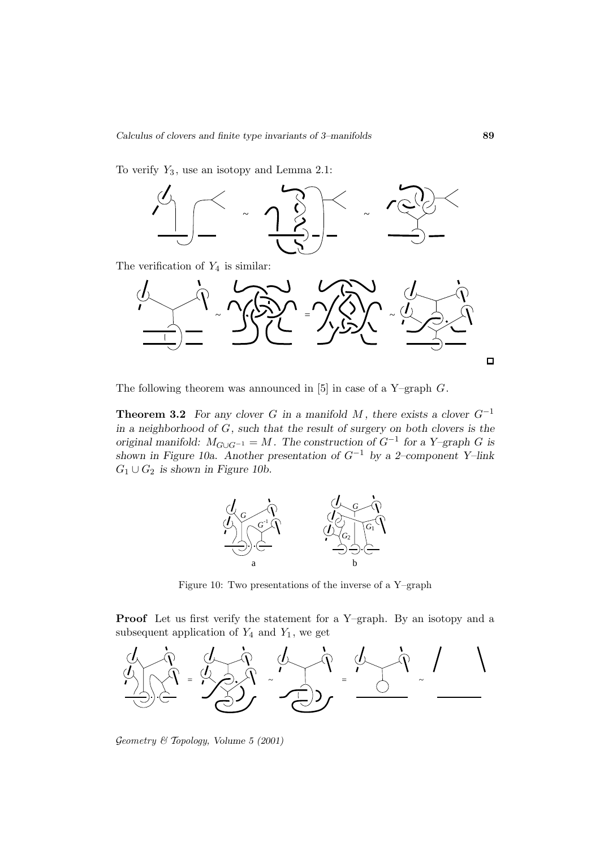To verify  $Y_3$ , use an isotopy and Lemma 2.1:



The verification of  $Y_4$  is similar:



The following theorem was announced in  $[5]$  in case of a Y–graph  $G$ .

**Theorem 3.2** *For any clover* G *in a manifold* M, there exists a clover  $G^{-1}$ *in a neighborhood of* G*, such that the result of surgery on both clovers is the original manifold:*  $M_{G\cup G^{-1}} = M$ . The construction of  $G^{-1}$  for a Y–graph G is *shown in Figure 10a. Another presentation of* G−<sup>1</sup> *by a 2–component Y–link*  $G_1\cup G_2$  is shown in Figure 10b.



Figure 10: Two presentations of the inverse of a Y–graph

**Proof** Let us first verify the statement for a Y–graph. By an isotopy and a subsequent application of  $Y_4$  and  $Y_1$ , we get



Geometry & Topology*, Volume 5 (2001)*

 $\Box$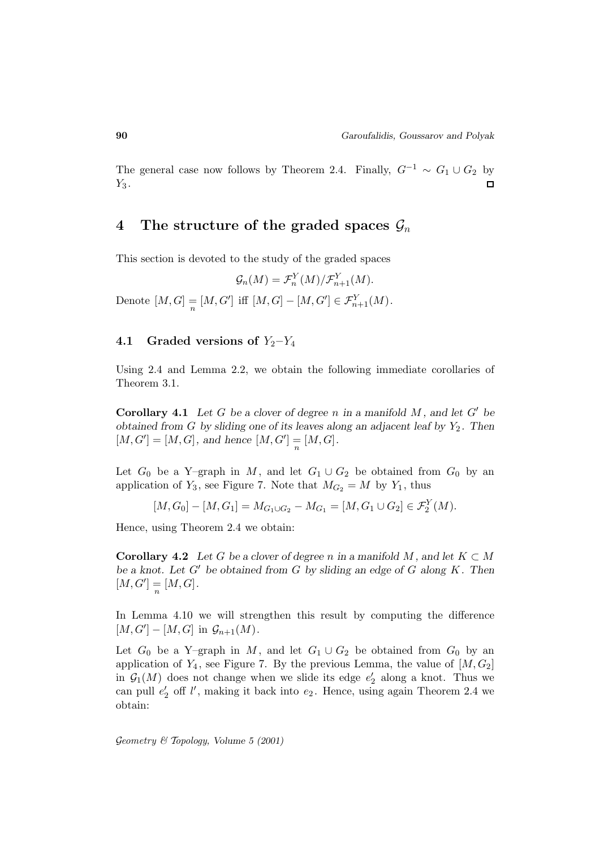The general case now follows by Theorem 2.4. Finally,  $G^{-1} \sim G_1 \cup G_2$  by  $Y_3$ .

### **4** The structure of the graded spaces  $\mathcal{G}_n$

This section is devoted to the study of the graded spaces

$$
\mathcal{G}_n(M) = \mathcal{F}_n^Y(M)/\mathcal{F}_{n+1}^Y(M).
$$

Denote  $[M, G] = [M, G']$  iff  $[M, G] - [M, G'] \in \mathcal{F}_{n+1}^{Y}(M)$ .

### **4.1** Graded versions of  $Y_2 - Y_4$

Using 2.4 and Lemma 2.2, we obtain the following immediate corollaries of Theorem 3.1.

**Corollary 4.1** Let G be a clover of degree n in a manifold  $M$ , and let  $G'$  be *obtained from G by sliding one of its leaves along an adjacent leaf by*  $Y_2$ . Then  $[M, G'] = [M, G]$ , and hence  $[M, G'] = [M, G]$ .

Let  $G_0$  be a Y–graph in M, and let  $G_1 \cup G_2$  be obtained from  $G_0$  by an application of  $Y_3$ , see Figure 7. Note that  $M_{G_2} = M$  by  $Y_1$ , thus

 $[M, G_0] - [M, G_1] = M_{G_1 \cup G_2} - M_{G_1} = [M, G_1 \cup G_2] \in \mathcal{F}_2^Y(M).$ 

Hence, using Theorem 2.4 we obtain:

**Corollary 4.2** Let G be a clover of degree n in a manifold M, and let  $K \subset M$ *be a knot. Let*  $G'$  *be obtained from*  $G$  *by sliding an edge of*  $G$  *along*  $K$ *. Then*  $[M, G'] = [M, G].$ 

In Lemma 4.10 we will strengthen this result by computing the difference  $[M, G'] - [M, G]$  in  $\mathcal{G}_{n+1}(M)$ .

Let  $G_0$  be a Y–graph in M, and let  $G_1 \cup G_2$  be obtained from  $G_0$  by an application of  $Y_4$ , see Figure 7. By the previous Lemma, the value of  $[M, G_2]$ in  $\mathcal{G}_1(M)$  does not change when we slide its edge  $e'_2$  along a knot. Thus we can pull  $e_2'$  off  $l'$ , making it back into  $e_2$ . Hence, using again Theorem 2.4 we obtain: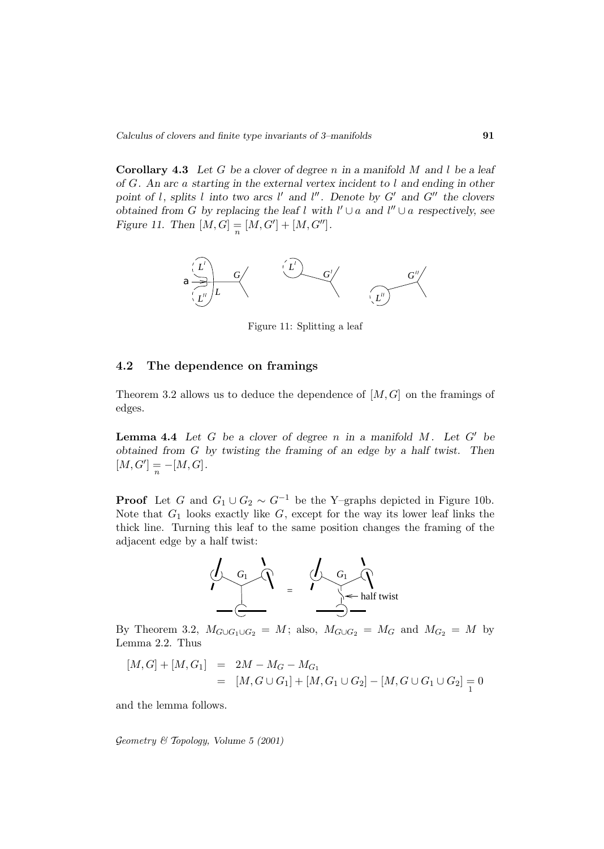**Corollary 4.3** *Let* G *be a clover of degree* n *in a manifold* M *and* l *be a leaf of* G*. An arc* a *starting in the external vertex incident to* l *and ending in other* point of l, splits l into two arcs l' and l''. Denote by  $G'$  and  $G''$  the clovers *obtained from G by replacing the leaf* l with  $l' \cup a$  and  $l'' \cup a$  respectively, see *Figure 11. Then*  $[M, G] = [M, G'] + [M, G'']$ .



Figure 11: Splitting a leaf

#### **4.2 The dependence on framings**

Theorem 3.2 allows us to deduce the dependence of  $[M, G]$  on the framings of edges.

**Lemma 4.4** Let  $G$  be a clover of degree  $n$  in a manifold  $M$ . Let  $G'$  be *obtained from* G *by twisting the framing of an edge by a half twist. Then*  $[M, G'] = -[M, G]$ .

**Proof** Let G and  $G_1 \cup G_2 \sim G^{-1}$  be the Y–graphs depicted in Figure 10b. Note that  $G_1$  looks exactly like  $G$ , except for the way its lower leaf links the thick line. Turning this leaf to the same position changes the framing of the adjacent edge by a half twist:



By Theorem 3.2,  $M_{G\cup G_1\cup G_2} = M$ ; also,  $M_{G\cup G_2} = M_G$  and  $M_{G_2} = M$  by Lemma 2.2. Thus

$$
[M, G] + [M, G_1] = 2M - M_G - M_{G_1}
$$
  
= 
$$
[M, G \cup G_1] + [M, G_1 \cup G_2] - [M, G \cup G_1 \cup G_2] = 0
$$

and the lemma follows.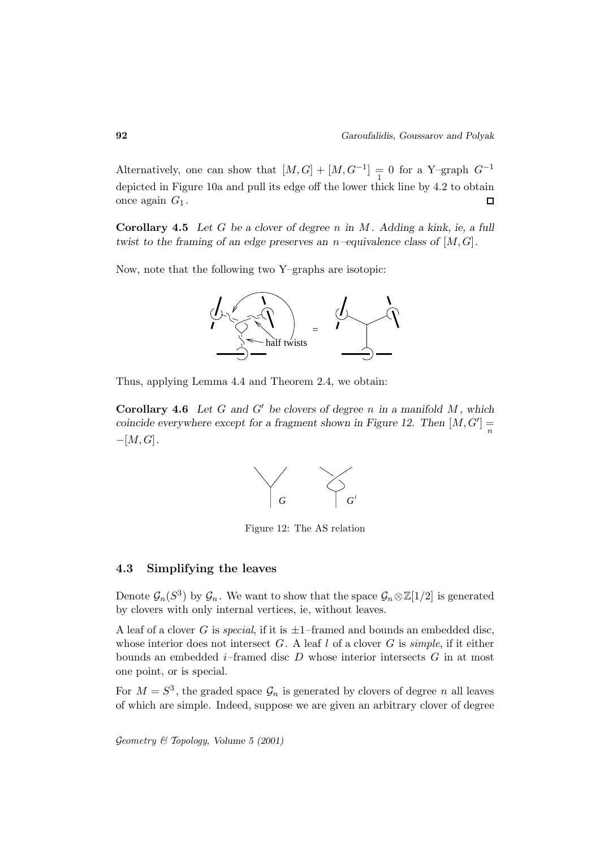Alternatively, one can show that  $[M, G] + [M, G^{-1}] = 0$  for a Y–graph  $G^{-1}$ depicted in Figure 10a and pull its edge off the lower thick line by 4.2 to obtain once again  $G_1$ .  $\Box$ 

**Corollary 4.5** *Let* G *be a clover of degree* n *in* M *. Adding a kink, ie, a full twist to the framing of an edge preserves an* n*–equivalence class of* [M,G]*.*

Now, note that the following two Y–graphs are isotopic:



Thus, applying Lemma 4.4 and Theorem 2.4, we obtain:

**Corollary 4.6** Let G and G' be clovers of degree n in a manifold  $M$ , which *coincide everywhere except for a fragment shown in Figure 12. Then*  $[M, G'] = \frac{1}{n}$ −[M,G]*.*



Figure 12: The AS relation

#### **4.3 Simplifying the leaves**

Denote  $\mathcal{G}_n(S^3)$  by  $\mathcal{G}_n$ . We want to show that the space  $\mathcal{G}_n \otimes \mathbb{Z}[1/2]$  is generated by clovers with only internal vertices, ie, without leaves.

A leaf of a clover G is *special*, if it is  $\pm 1$ –framed and bounds an embedded disc, whose interior does not intersect  $G$ . A leaf l of a clover  $G$  is simple, if it either bounds an embedded  $i$ -framed disc  $D$  whose interior intersects  $G$  in at most one point, or is special.

For  $M = S^3$ , the graded space  $\mathcal{G}_n$  is generated by clovers of degree n all leaves of which are simple. Indeed, suppose we are given an arbitrary clover of degree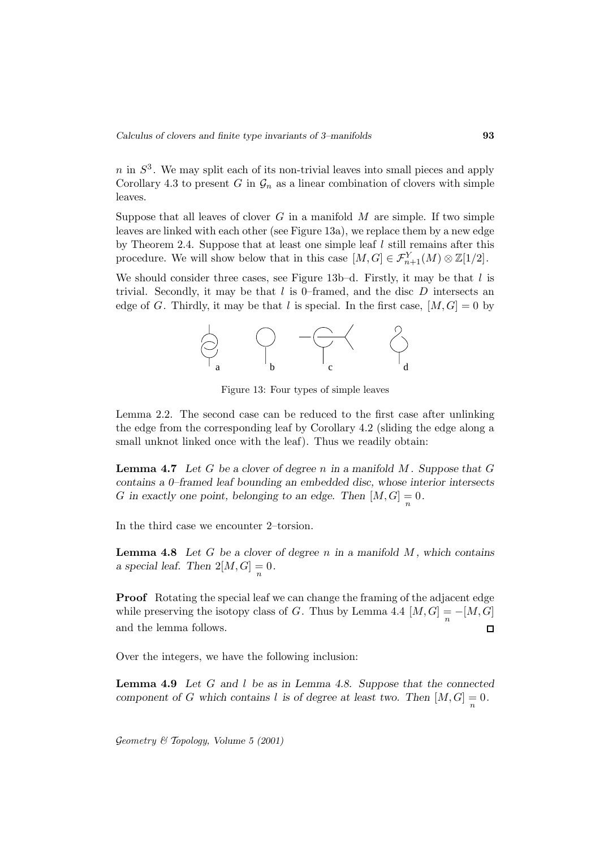$n$  in  $S<sup>3</sup>$ . We may split each of its non-trivial leaves into small pieces and apply Corollary 4.3 to present G in  $\mathcal{G}_n$  as a linear combination of clovers with simple leaves.

Suppose that all leaves of clover  $G$  in a manifold  $M$  are simple. If two simple leaves are linked with each other (see Figure 13a), we replace them by a new edge by Theorem 2.4. Suppose that at least one simple leaf  $l$  still remains after this procedure. We will show below that in this case  $[M, G] \in \mathcal{F}_{n+1}^{Y}(M) \otimes \mathbb{Z}[1/2]$ .

We should consider three cases, see Figure  $13b-d$ . Firstly, it may be that l is trivial. Secondly, it may be that  $l$  is 0–framed, and the disc  $D$  intersects an edge of G. Thirdly, it may be that l is special. In the first case,  $[M, G] = 0$  by



Figure 13: Four types of simple leaves

Lemma 2.2. The second case can be reduced to the first case after unlinking the edge from the corresponding leaf by Corollary 4.2 (sliding the edge along a small unknot linked once with the leaf). Thus we readily obtain:

**Lemma 4.7** *Let* G *be a clover of degree* n *in a manifold* M *. Suppose that* G *contains a 0–framed leaf bounding an embedded disc, whose interior intersects* G in exactly one point, belonging to an edge. Then  $[M, G] = 0$ .

In the third case we encounter 2–torsion.

**Lemma 4.8** *Let* G *be a clover of degree* n *in a manifold* M *, which contains a special leaf.* Then  $2[M, G] = 0$ .

**Proof** Rotating the special leaf we can change the framing of the adjacent edge while preserving the isotopy class of G. Thus by Lemma 4.4  $[M, G] = -[M, G]$ <br>and the lemma follows. and the lemma follows.

Over the integers, we have the following inclusion:

**Lemma 4.9** *Let* G *and* l *be as in Lemma 4.8. Suppose that the connected component of* G which contains l is of degree at least two. Then  $[M, G] = 0$ .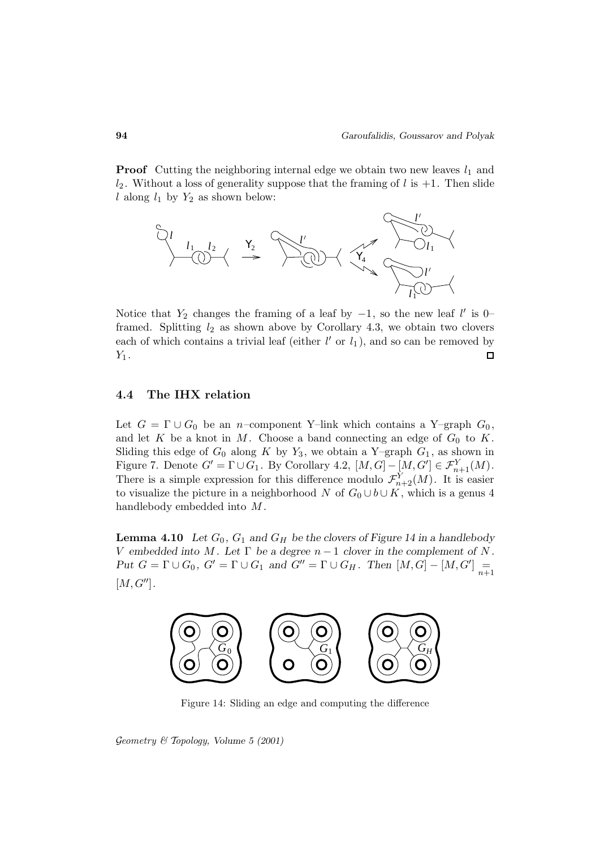**Proof** Cutting the neighboring internal edge we obtain two new leaves  $l_1$  and  $l_2$ . Without a loss of generality suppose that the framing of l is  $+1$ . Then slide l along  $l_1$  by  $Y_2$  as shown below:



Notice that  $Y_2$  changes the framing of a leaf by  $-1$ , so the new leaf l' is 0– framed. Splitting  $l_2$  as shown above by Corollary 4.3, we obtain two clovers each of which contains a trivial leaf (either  $l'$  or  $l_1$ ), and so can be removed by  $Y_1$ .  $\Box$ 

### **4.4 The IHX relation**

Let  $G = \Gamma \cup G_0$  be an *n*–component Y–link which contains a Y–graph  $G_0$ , and let  $K$  be a knot in  $M$ . Choose a band connecting an edge of  $G_0$  to  $K$ . Sliding this edge of  $G_0$  along K by  $Y_3$ , we obtain a Y–graph  $G_1$ , as shown in Figure 7. Denote  $G' = \Gamma \cup G_1$ . By Corollary 4.2,  $[M, G] - [M, G'] \in \mathcal{F}_{n+1}^{Y}(M)$ . There is a simple expression for this difference modulo  $\mathcal{F}_{n+2}^{Y}(M)$ . It is easier to visualize the picture in a neighborhood N of  $G_0 \cup b \cup K$ , which is a genus 4 handlebody embedded into  $M$ .

**Lemma 4.10** *Let*  $G_0$ ,  $G_1$  *and*  $G_H$  *be the clovers of Figure 14 in a handlebody* V embedded into M. Let  $\Gamma$  be a degree  $n-1$  clover in the complement of N. *Put*  $G = \Gamma \cup G_0$ ,  $G' = \Gamma \cup G_1$  *and*  $G'' = \Gamma \cup G_H$ . Then  $[M, G] - [M, G']$   $\underset{n+1}{=}$  $[M, G'']$ .



Figure 14: Sliding an edge and computing the difference

Geometry & Topology*, Volume 5 (2001)*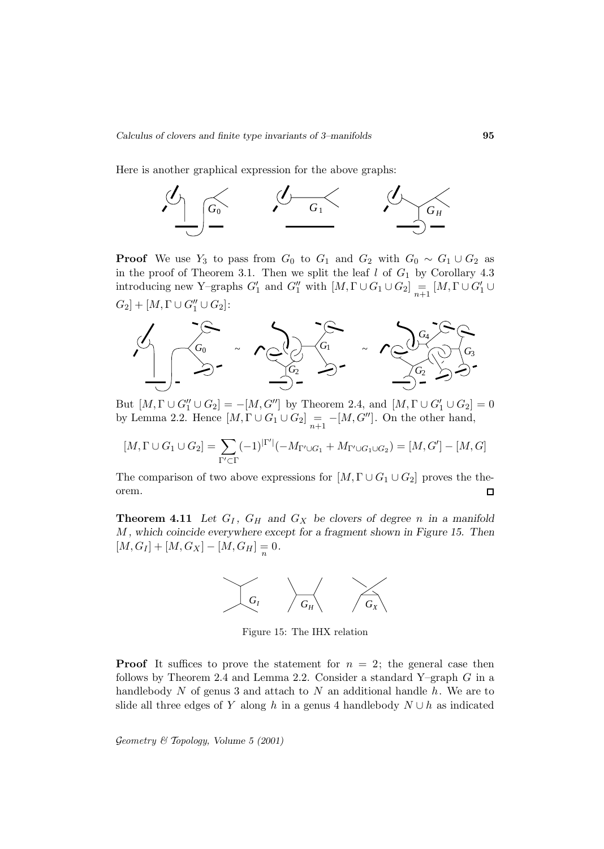Here is another graphical expression for the above graphs:



**Proof** We use Y<sub>3</sub> to pass from  $G_0$  to  $G_1$  and  $G_2$  with  $G_0 \sim G_1 \cup G_2$  as in the proof of Theorem 3.1. Then we split the leaf  $l$  of  $G_1$  by Corollary 4.3 introducing new Y–graphs  $G'_1$  and  $G''_1$  with  $[M, \Gamma \cup G_1 \cup G_2]$   $= \atop{n+1} [M, \Gamma \cup G'_1 \cup G'_2]$  $G_2]+[M,\Gamma\cup G_1''\cup G_2]$ :



But  $[M, \Gamma \cup G''_1 \cup G_2] = -[M, G'']$  by Theorem 2.4, and  $[M, \Gamma \cup G'_1 \cup G_2] = 0$ by Lemma 2.2. Hence  $[M, \Gamma \cup G_1 \cup G_2] = -[M, G'']$ . On the other hand,

$$
[M, \Gamma \cup G_1 \cup G_2] = \sum_{\Gamma' \subset \Gamma} (-1)^{|\Gamma'|} (-M_{\Gamma' \cup G_1} + M_{\Gamma' \cup G_1 \cup G_2}) = [M, G'] - [M, G]
$$

The comparison of two above expressions for  $[M, \Gamma \cup G_1 \cup G_2]$  proves the theorem.  $\Box$ 

**Theorem 4.11** Let  $G_I$ ,  $G_H$  and  $G_X$  be clovers of degree n in a manifold M *, which coincide everywhere except for a fragment shown in Figure 15. Then*  $[M,G_I] + [M,G_X] - [M,G_H] = 0.$ 



Figure 15: The IHX relation

**Proof** It suffices to prove the statement for  $n = 2$ ; the general case then follows by Theorem 2.4 and Lemma 2.2. Consider a standard Y–graph  $G$  in a handlebody  $N$  of genus 3 and attach to  $N$  an additional handle  $h$ . We are to slide all three edges of Y along h in a genus 4 handlebody  $N \cup h$  as indicated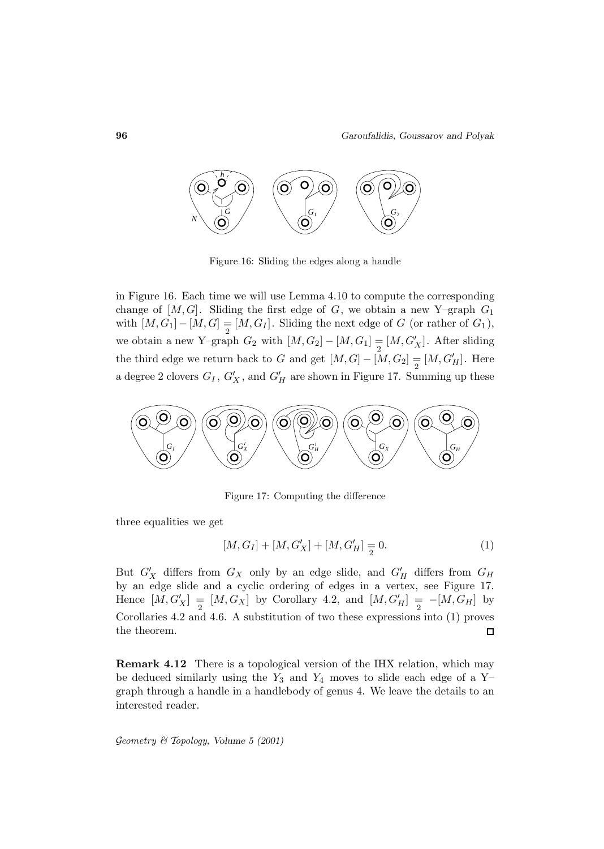

Figure 16: Sliding the edges along a handle

in Figure 16. Each time we will use Lemma 4.10 to compute the corresponding change of  $[M, G]$ . Sliding the first edge of G, we obtain a new Y–graph  $G_1$ with  $[M,G_1] - [M,G] = [M,G_I]$ . Sliding the next edge of G (or rather of  $G_1$ ), we obtain a new Y–graph  $G_2$  with  $[M, G_2] - [M, G_1] = [M, G'_X]$ . After sliding the third edge we return back to G and get  $[M, G] - [M, G_2] \equiv [M, G'_H]$ . Here a degree 2 clovers  $G_I$ ,  $G'_X$ , and  $G'_H$  are shown in Figure 17. Summing up these



Figure 17: Computing the difference

three equalities we get

$$
[M, G_I] + [M, G'_X] + [M, G'_H] = 0.
$$
\n(1)

But  $G'_X$  differs from  $G_X$  only by an edge slide, and  $G'_H$  differs from  $G_H$ by an edge slide and a cyclic ordering of edges in a vertex, see Figure 17. Hence  $[M, G'_X] = [M, G_X]$  by Corollary 4.2, and  $[M, G'_H] = -[M, G_H]$  by Corollaries 4.2 and 4.6. A substitution of two these expressions into (1) proves the theorem.  $\Box$ 

**Remark 4.12** There is a topological version of the IHX relation, which may be deduced similarly using the  $Y_3$  and  $Y_4$  moves to slide each edge of a Y– graph through a handle in a handlebody of genus 4. We leave the details to an interested reader.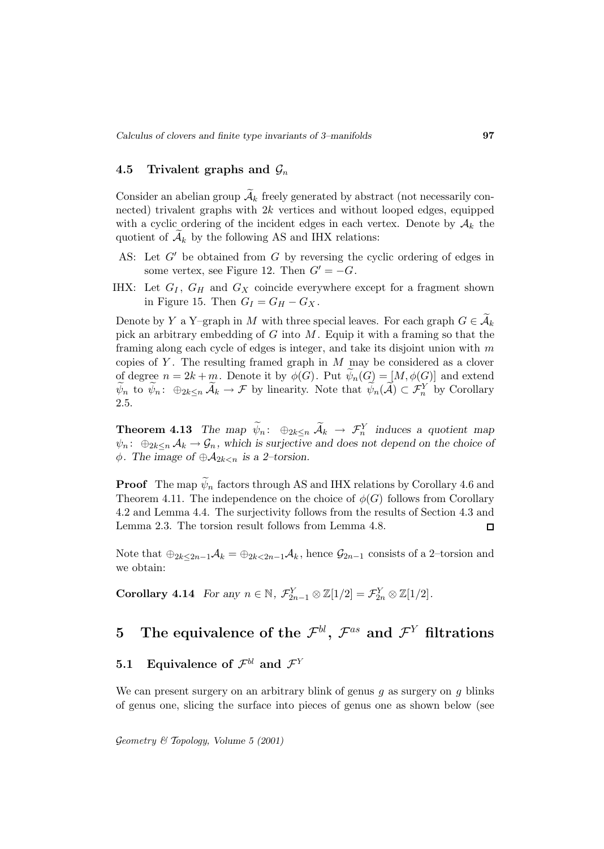#### **4.5 Trivalent graphs and**  $\mathcal{G}_n$

Consider an abelian group  $\mathcal{A}_k$  freely generated by abstract (not necessarily connected) trivalent graphs with  $2k$  vertices and without looped edges, equipped with a cyclic ordering of the incident edges in each vertex. Denote by  $A_k$  the quotient of  $A_k$  by the following AS and IHX relations:

- AS: Let  $G'$  be obtained from G by reversing the cyclic ordering of edges in some vertex, see Figure 12. Then  $G' = -G$ .
- IHX: Let  $G_I$ ,  $G_H$  and  $G_X$  coincide everywhere except for a fragment shown in Figure 15. Then  $G_I = G_H - G_X$ .

Denote by Y a Y–graph in M with three special leaves. For each graph  $G \in \widetilde{A}_k$ pick an arbitrary embedding of  $G$  into  $M$ . Equip it with a framing so that the framing along each cycle of edges is integer, and take its disjoint union with  $m$ copies of Y. The resulting framed graph in  $M$  may be considered as a clover of degree  $n = 2k + m$ . Denote it by  $\phi(G)$ . Put  $\psi_n(G) = [M, \phi(G)]$  and extend  $\widetilde{\psi}_n$  to  $\widetilde{\psi}_n$ :  $\oplus_{2k\leq n} \widetilde{\mathcal{A}}_k \to \mathcal{F}$  by linearity. Note that  $\widetilde{\psi}_n(\widetilde{\mathcal{A}}) \subset \mathcal{F}_n^Y$  by Corollary 2.5.

**Theorem 4.13** *The map*  $\widetilde{\psi}_n$ :  $\oplus_{2k \leq n} \widetilde{A}_k \rightarrow \mathcal{F}_n^Y$  *induces a quotient map*  $\psi_n$ :  $\bigoplus_{2k\leq n} A_k \to \mathcal{G}_n$ , which is surjective and does not depend on the choice of  $\phi$ *. The image of*  $\oplus \mathcal{A}_{2k\lt n}$  *is a 2–torsion.* 

**Proof** The map  $\psi_n$  factors through AS and IHX relations by Corollary 4.6 and Theorem 4.11. The independence on the choice of  $\phi(G)$  follows from Corollary 4.2 and Lemma 4.4. The surjectivity follows from the results of Section 4.3 and Lemma 2.3. The torsion result follows from Lemma 4.8.  $\Box$ 

Note that  $\bigoplus_{2k\leq 2n-1}A_k = \bigoplus_{2k\leq 2n-1}A_k$ , hence  $\mathcal{G}_{2n-1}$  consists of a 2–torsion and we obtain:

**Corollary 4.14** *For any*  $n \in \mathbb{N}$ ,  $\mathcal{F}_{2n-1}^Y \otimes \mathbb{Z}[1/2] = \mathcal{F}_{2n}^Y \otimes \mathbb{Z}[1/2]$ .

# $\mathbf{5}$  The equivalence of the  $\mathcal{F}^{bl}, \ \mathcal{F}^{as}$  and  $\mathcal{F}^{Y}$  filtrations

# **5.1 Equivalence of**  $\mathcal{F}^{bl}$  and  $\mathcal{F}^{Y}$

We can present surgery on an arbitrary blink of genus  $g$  as surgery on  $g$  blinks of genus one, slicing the surface into pieces of genus one as shown below (see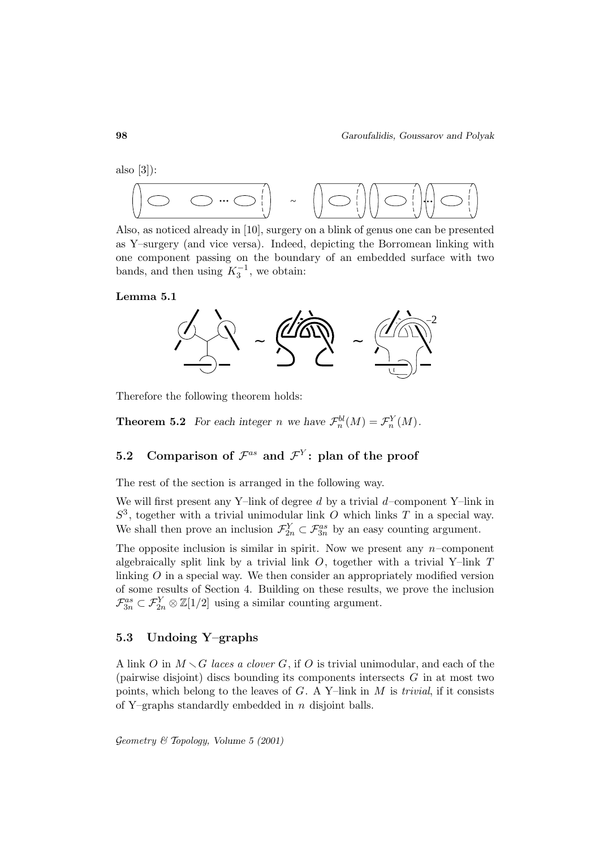also [3]):



Also, as noticed already in [10], surgery on a blink of genus one can be presented as Y–surgery (and vice versa). Indeed, depicting the Borromean linking with one component passing on the boundary of an embedded surface with two bands, and then using  $K_3^{-1}$ , we obtain:

**Lemma 5.1**



Therefore the following theorem holds:

**Theorem 5.2** *For each integer n* we have  $\mathcal{F}_n^{bl}(M) = \mathcal{F}_n^{Y}(M)$ *.* 

### **5.2** Comparison of  $\mathcal{F}^{as}$  and  $\mathcal{F}^{Y}$ : plan of the proof

The rest of the section is arranged in the following way.

We will first present any Y–link of degree  $d$  by a trivial  $d$ –component Y–link in  $S<sup>3</sup>$ , together with a trivial unimodular link O which links T in a special way. We shall then prove an inclusion  $\mathcal{F}_{2n}^Y \subset \mathcal{F}_{3n}^{as}$  by an easy counting argument.

The opposite inclusion is similar in spirit. Now we present any  $n$ -component algebraically split link by a trivial link  $O$ , together with a trivial Y–link  $T$ linking O in a special way. We then consider an appropriately modified version of some results of Section 4. Building on these results, we prove the inclusion  $\mathcal{F}_{3n}^{as} \subset \mathcal{F}_{2n}^Y \otimes \mathbb{Z}[1/2]$  using a similar counting argument.

### **5.3 Undoing Y–graphs**

A link O in  $M \setminus G$  laces a clover G, if O is trivial unimodular, and each of the (pairwise disjoint) discs bounding its components intersects  $G$  in at most two points, which belong to the leaves of  $G$ . A Y–link in  $M$  is *trivial*, if it consists of Y–graphs standardly embedded in  $n$  disjoint balls.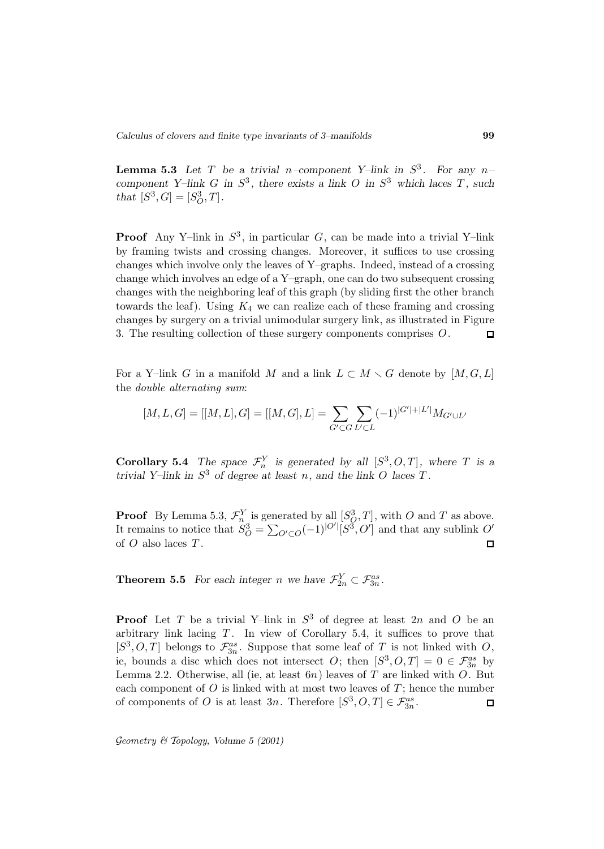**Lemma 5.3** *Let*  $T$  *be a trivial*  $n$ -component Y-link in  $S^3$ *. For any*  $n$ *component Y–link* G *in*  $S^3$ *, there exists a link* O *in*  $S^3$  *which laces* T, *such that*  $[S^3, G] = [S_O^3, T]$ .

**Proof** Any Y–link in  $S^3$ , in particular G, can be made into a trivial Y–link by framing twists and crossing changes. Moreover, it suffices to use crossing changes which involve only the leaves of Y–graphs. Indeed, instead of a crossing change which involves an edge of a Y–graph, one can do two subsequent crossing changes with the neighboring leaf of this graph (by sliding first the other branch towards the leaf). Using  $K_4$  we can realize each of these framing and crossing changes by surgery on a trivial unimodular surgery link, as illustrated in Figure 3. The resulting collection of these surgery components comprises O.  $\Box$ 

For a Y–link G in a manifold M and a link  $L \subset M \setminus G$  denote by  $[M, G, L]$ the double alternating sum:

$$
[M, L, G] = [[M, L], G] = [[M, G], L] = \sum_{G' \subset G} \sum_{L' \subset L} (-1)^{|G'| + |L'|} M_{G' \cup L'}
$$

**Corollary 5.4** *The space*  $\mathcal{F}_n^Y$  *is generated by all*  $[S^3, O, T]$ *, where T is a trivial Y–link in*  $S^3$  *of degree at least n, and the link O laces T.* 

**Proof** By Lemma 5.3,  $\mathcal{F}_n^Y$  is generated by all  $[S_Q^3, T]$ , with O and T as above. It remains to notice that  $S_O^3 = \sum_{O' \subset O} (-1)^{|O'|} [S^3, O']$  and that any sublink O' of  $O$  also laces  $T$ .  $\Box$ 

**Theorem 5.5** *For each integer n* we have  $\mathcal{F}_{2n}^Y \subset \mathcal{F}_{3n}^{as}$ *.* 

**Proof** Let T be a trivial Y–link in  $S^3$  of degree at least 2n and O be an arbitrary link lacing  $T$ . In view of Corollary 5.4, it suffices to prove that  $[S^3, O, T]$  belongs to  $\mathcal{F}_{3n}^{as}$ . Suppose that some leaf of T is not linked with O, ie, bounds a disc which does not intersect O; then  $[S^3, O, T]=0 \in \mathcal{F}_{3n}^{as}$  by Lemma 2.2. Otherwise, all (ie, at least  $6n$ ) leaves of T are linked with O. But each component of  $O$  is linked with at most two leaves of  $T$ ; hence the number of components of O is at least  $3n$ . Therefore  $[S^3, O, T] \in \mathcal{F}_{3n}^{as}$ .  $\Box$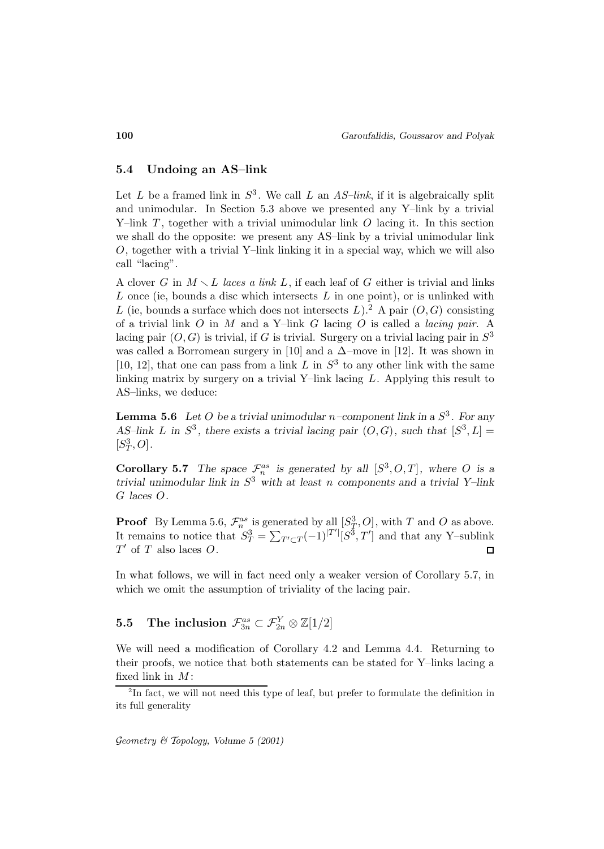#### **5.4 Undoing an AS–link**

Let L be a framed link in  $S^3$ . We call L an AS-link, if it is algebraically split and unimodular. In Section 5.3 above we presented any Y–link by a trivial Y-link  $T$ , together with a trivial unimodular link  $O$  lacing it. In this section we shall do the opposite: we present any AS–link by a trivial unimodular link  $O$ , together with a trivial Y-link linking it in a special way, which we will also call "lacing".

A clover G in  $M \setminus L$  laces a link L, if each leaf of G either is trivial and links L once (ie, bounds a disc which intersects  $L$  in one point), or is unlinked with L (ie, bounds a surface which does not intersects L).<sup>2</sup> A pair  $(O, G)$  consisting of a trivial link  $O$  in  $M$  and a Y-link  $G$  lacing  $O$  is called a *lacing pair*. A lacing pair  $(O, G)$  is trivial, if G is trivial. Surgery on a trivial lacing pair in  $S<sup>3</sup>$ was called a Borromean surgery in [10] and a  $\Delta$ –move in [12]. It was shown in [10, 12], that one can pass from a link L in  $S^3$  to any other link with the same linking matrix by surgery on a trivial Y–link lacing  $L$ . Applying this result to AS–links, we deduce:

**Lemma 5.6** *Let* O *be a trivial unimodular*  $n$ -component link in a  $S^3$ . For any *AS–link L* in  $S^3$ , there exists a trivial lacing pair  $(O, G)$ , such that  $[S^3, L] =$  $[S_T^3, O]$ .

**Corollary 5.7** *The space*  $\mathcal{F}_n^{as}$  *is generated by all*  $[S^3, O, T]$ *, where O is a trivial unimodular link in* S<sup>3</sup> *with at least* n *components and a trivial Y–link* G *laces* O*.*

**Proof** By Lemma 5.6,  $\mathcal{F}_n^{as}$  is generated by all  $[S_T^3, O]$ , with T and O as above. It remains to notice that  $S_T^3 = \sum_{T' \subset T} (-1)^{|T'|} [S^3, T']$  and that any Y–sublink  $T'$  of T also laces O.  $\Box$ 

In what follows, we will in fact need only a weaker version of Corollary 5.7, in which we omit the assumption of triviality of the lacing pair.

# $\begin{array}{ll} {\bf 5.5} & {\rm The\ inclusion\ } \mathcal{F}_{3n}^{as} \subset \mathcal{F}_{2n}^{Y} \otimes \mathbb{Z}[1/2] \end{array}$

We will need a modification of Corollary 4.2 and Lemma 4.4. Returning to their proofs, we notice that both statements can be stated for Y–links lacing a fixed link in  $M$ :

 ${}^{2}$ In fact, we will not need this type of leaf, but prefer to formulate the definition in its full generality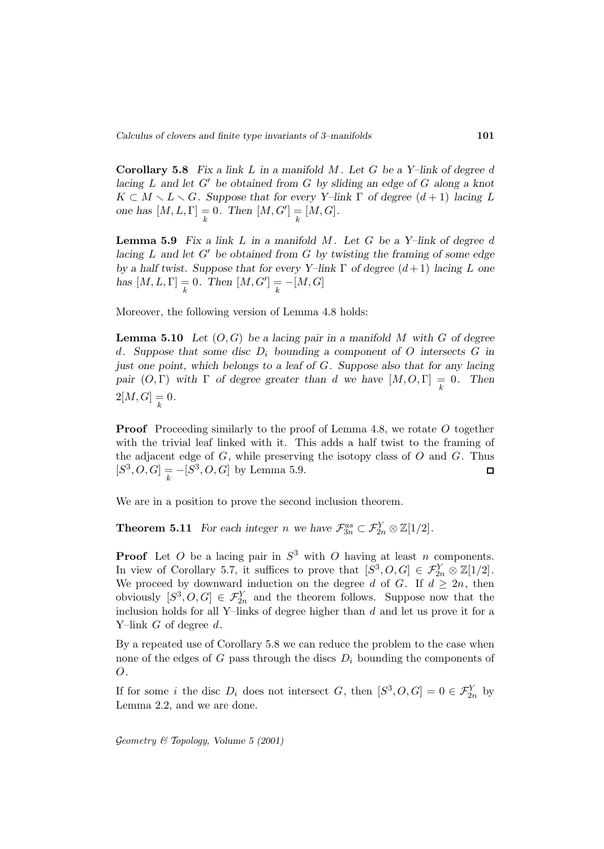**Corollary 5.8** *Fix a link* L *in a manifold* M *. Let* G *be a Y–link of degree* d *lacing* L and let G' be obtained from G by sliding an edge of G along a knot  $K \subset M \setminus L \setminus G$ *. Suppose that for every Y–link*  $\Gamma$  *of degree*  $(d+1)$  *lacing* L *one has*  $[M, L, \Gamma] = 0$ *. Then*  $[M, G'] = [M, G]$ *.* 

**Lemma 5.9** *Fix a link* L *in a manifold* M *. Let* G *be a Y–link of degree* d *lacing*  $L$  *and let*  $G'$  *be obtained from*  $G$  *by twisting the framing of some edge by a half twist. Suppose that for every Y–link* Γ *of degree* (d+ 1) *lacing* L *one has*  $[M, L, \Gamma] = 0$ . Then  $[M, G'] = -[M, G]$ 

Moreover, the following version of Lemma 4.8 holds:

**Lemma 5.10** *Let*  $(O, G)$  *be a lacing pair in a manifold M* with *G* of degree d. Suppose that some disc  $D_i$  bounding a component of O intersects  $G$  in *just one point, which belongs to a leaf of* G*. Suppose also that for any lacing pair*  $(O, \Gamma)$  *with*  $\Gamma$  *of degree greater than d we have*  $[M, O, \Gamma] = 0$ *. Then*  $2[M,G] = 0.$ 

**Proof** Proceeding similarly to the proof of Lemma 4.8, we rotate O together with the trivial leaf linked with it. This adds a half twist to the framing of the adjacent edge of  $G$ , while preserving the isotopy class of  $O$  and  $G$ . Thus  $[S^3, O, G] = -[S^3, O, G]$  by Lemma 5.9.  $\Box$ 

We are in a position to prove the second inclusion theorem.

**Theorem 5.11** *For each integer n* we have  $\mathcal{F}_{3n}^{as} \subset \mathcal{F}_{2n}^{Y} \otimes \mathbb{Z}[1/2]$ *.* 

**Proof** Let O be a lacing pair in  $S^3$  with O having at least n components. In view of Corollary 5.7, it suffices to prove that  $[S^3, O, G] \in \mathcal{F}_{2n}^Y \otimes \mathbb{Z}[1/2].$ We proceed by downward induction on the degree d of G. If  $d \geq 2n$ , then obviously  $[S^3, O, G] \in \mathcal{F}_{2n}^Y$  and the theorem follows. Suppose now that the inclusion holds for all Y–links of degree higher than  $d$  and let us prove it for a Y-link  $G$  of degree  $d$ .

By a repeated use of Corollary 5.8 we can reduce the problem to the case when none of the edges of  $G$  pass through the discs  $D_i$  bounding the components of O.

If for some i the disc  $D_i$  does not intersect G, then  $[S^3, O, G] = 0 \in \mathcal{F}_{2n}^Y$  by Lemma 2.2, and we are done.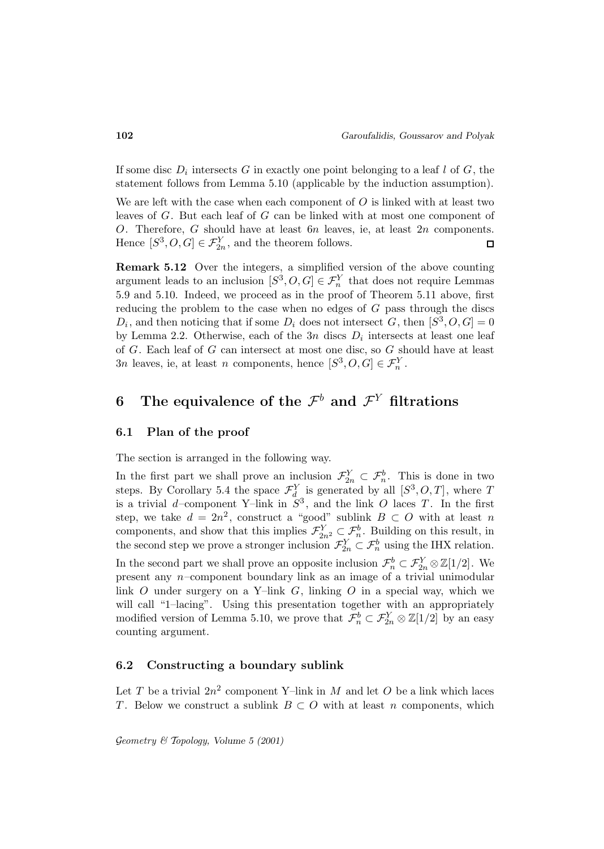If some disc  $D_i$  intersects G in exactly one point belonging to a leaf l of G, the statement follows from Lemma 5.10 (applicable by the induction assumption).

We are left with the case when each component of  $O$  is linked with at least two leaves of G. But each leaf of G can be linked with at most one component of O. Therefore, G should have at least  $6n$  leaves, ie, at least  $2n$  components. Hence  $[S^3, O, G] \in \mathcal{F}_{2n}^Y$ , and the theorem follows.  $\Box$ 

**Remark 5.12** Over the integers, a simplified version of the above counting argument leads to an inclusion  $[S^3, O, G] \in \mathcal{F}_n^Y$  that does not require Lemmas 5.9 and 5.10. Indeed, we proceed as in the proof of Theorem 5.11 above, first reducing the problem to the case when no edges of  $G$  pass through the discs  $D_i$ , and then noticing that if some  $D_i$  does not intersect G, then  $[S^3, O, G]=0$ by Lemma 2.2. Otherwise, each of the  $3n$  discs  $D_i$  intersects at least one leaf of G. Each leaf of G can intersect at most one disc, so G should have at least 3n leaves, ie, at least n components, hence  $[S^3, O, G] \in \mathcal{F}_n^Y$ .

# **6** The equivalence of the  $\mathcal{F}^b$  and  $\mathcal{F}^Y$  filtrations

#### **6.1 Plan of the proof**

The section is arranged in the following way.

In the first part we shall prove an inclusion  $\mathcal{F}_{2n}^Y \subset \mathcal{F}_n^b$ . This is done in two steps. By Corollary 5.4 the space  $\mathcal{F}_{d}^{Y}$  is generated by all  $[S^3, O, T]$ , where T is a trivial d–component Y–link in  $S^3$ , and the link O laces T. In the first step, we take  $d = 2n^2$ , construct a "good" sublink  $B \subset O$  with at least n components, and show that this implies  $\mathcal{F}_{2n^2}^Y \subset \mathcal{F}_n^b$ . Building on this result, in the second step we prove a stronger inclusion  $\mathcal{F}_{2n}^Y \subset \mathcal{F}_n^b$  using the IHX relation.

In the second part we shall prove an opposite inclusion  $\mathcal{F}_n^b \subset \mathcal{F}_{2n}^Y \otimes \mathbb{Z}[1/2]$ . We present any  $n$ -component boundary link as an image of a trivial unimodular link O under surgery on a Y-link G, linking O in a special way, which we will call "1–lacing". Using this presentation together with an appropriately modified version of Lemma 5.10, we prove that  $\mathcal{F}_n^b \subset \mathcal{F}_{2n}^Y \otimes \mathbb{Z}[1/2]$  by an easy counting argument.

### **6.2 Constructing a boundary sublink**

Let T be a trivial  $2n^2$  component Y-link in M and let O be a link which laces T. Below we construct a sublink  $B \subset O$  with at least n components, which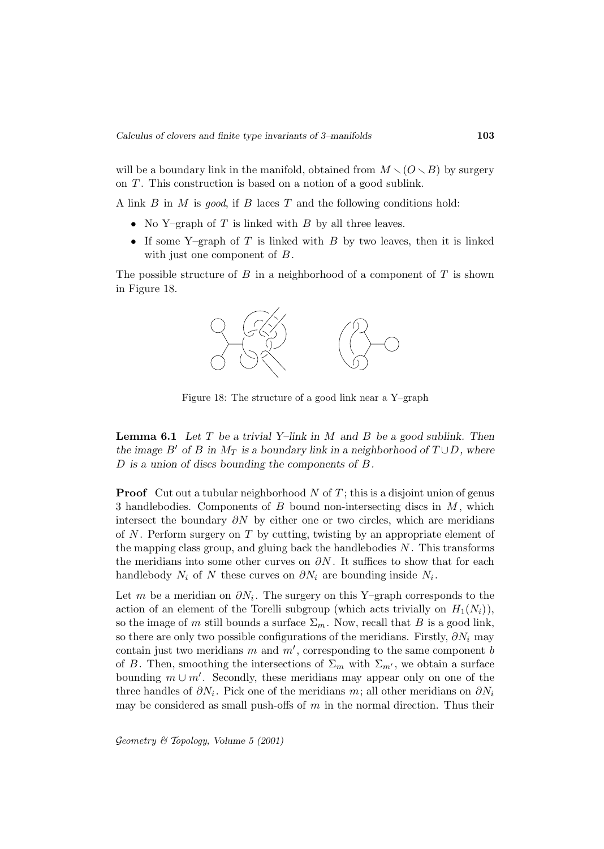will be a boundary link in the manifold, obtained from  $M \setminus (O \setminus B)$  by surgery on  $T$ . This construction is based on a notion of a good sublink.

A link  $B$  in  $M$  is good, if  $B$  laces  $T$  and the following conditions hold:

- No Y–graph of T is linked with B by all three leaves.
- If some Y–graph of  $T$  is linked with  $B$  by two leaves, then it is linked with just one component of  $B$ .

The possible structure of  $B$  in a neighborhood of a component of  $T$  is shown in Figure 18.



Figure 18: The structure of a good link near a Y–graph

**Lemma 6.1** *Let* T *be a trivial Y–link in* M *and* B *be a good sublink. Then the image*  $B'$  *of*  $B$  *in*  $M_T$  *is a boundary link in a neighborhood of*  $T \cup D$ *, where* D *is a union of discs bounding the components of* B*.*

**Proof** Cut out a tubular neighborhood  $N$  of  $T$ ; this is a disjoint union of genus 3 handlebodies. Components of  $B$  bound non-intersecting discs in  $M$ , which intersect the boundary  $\partial N$  by either one or two circles, which are meridians of  $N$ . Perform surgery on  $T$  by cutting, twisting by an appropriate element of the mapping class group, and gluing back the handlebodies  $N$ . This transforms the meridians into some other curves on  $\partial N$ . It suffices to show that for each handlebody  $N_i$  of N these curves on  $\partial N_i$  are bounding inside  $N_i$ .

Let m be a meridian on  $\partial N_i$ . The surgery on this Y–graph corresponds to the action of an element of the Torelli subgroup (which acts trivially on  $H_1(N_i)$ ), so the image of m still bounds a surface  $\Sigma_m$ . Now, recall that B is a good link, so there are only two possible configurations of the meridians. Firstly,  $\partial N_i$  may contain just two meridians m and  $m'$ , corresponding to the same component b of B. Then, smoothing the intersections of  $\Sigma_m$  with  $\Sigma_{m'}$ , we obtain a surface bounding  $m \cup m'$ . Secondly, these meridians may appear only on one of the three handles of  $\partial N_i$ . Pick one of the meridians m; all other meridians on  $\partial N_i$ may be considered as small push-offs of  $m$  in the normal direction. Thus their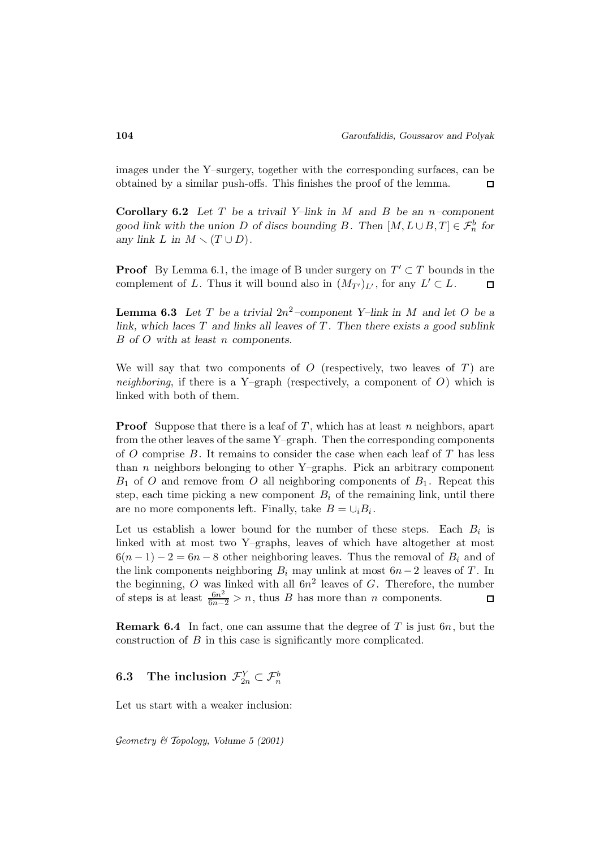images under the Y–surgery, together with the corresponding surfaces, can be obtained by a similar push-offs. This finishes the proof of the lemma.  $\Box$ 

**Corollary 6.2** *Let* T *be a trivail Y–link in* M *and* B *be an* n*–component* good link with the union D of discs bounding B. Then  $[M, L \cup B, T] \in \mathcal{F}_n^b$  for *any link*  $L$  *in*  $M \setminus (T \cup D)$ *.* 

**Proof** By Lemma 6.1, the image of B under surgery on  $T' \subset T$  bounds in the complement of L. Thus it will bound also in  $(M_{T'})_{L'}$ , for any  $L' \subset L$ .  $\Box$ 

**Lemma 6.3** Let T be a trivial  $2n^2$ -component Y–link in M and let O be a *link, which laces*  $T$  *and links all leaves of*  $T$ *. Then there exists a good sublink* B *of* O *with at least* n *components.*

We will say that two components of  $O$  (respectively, two leaves of  $T$ ) are neighboring, if there is a Y–graph (respectively, a component of  $O$ ) which is linked with both of them.

**Proof** Suppose that there is a leaf of  $T$ , which has at least  $n$  neighbors, apart from the other leaves of the same Y–graph. Then the corresponding components of  $O$  comprise  $B$ . It remains to consider the case when each leaf of  $T$  has less than  $n$  neighbors belonging to other Y–graphs. Pick an arbitrary component  $B_1$  of O and remove from O all neighboring components of  $B_1$ . Repeat this step, each time picking a new component  $B_i$  of the remaining link, until there are no more components left. Finally, take  $B = \cup_i B_i$ .

Let us establish a lower bound for the number of these steps. Each  $B_i$  is linked with at most two Y–graphs, leaves of which have altogether at most  $6(n-1)-2=6n-8$  other neighboring leaves. Thus the removal of  $B_i$  and of the link components neighboring  $B_i$  may unlink at most  $6n-2$  leaves of T. In the beginning, O was linked with all  $6n^2$  leaves of G. Therefore, the number of steps is at least  $\frac{6n^2}{6n-2} > n$ , thus B has more than n components.

**Remark 6.4** In fact, one can assume that the degree of  $T$  is just 6n, but the construction of B in this case is significantly more complicated.

# $\textbf{6.3} \quad \textbf{The inclusion} \ \ \mathcal{F}^Y_{2n} \subset \mathcal{F}^b_{n}$

Let us start with a weaker inclusion: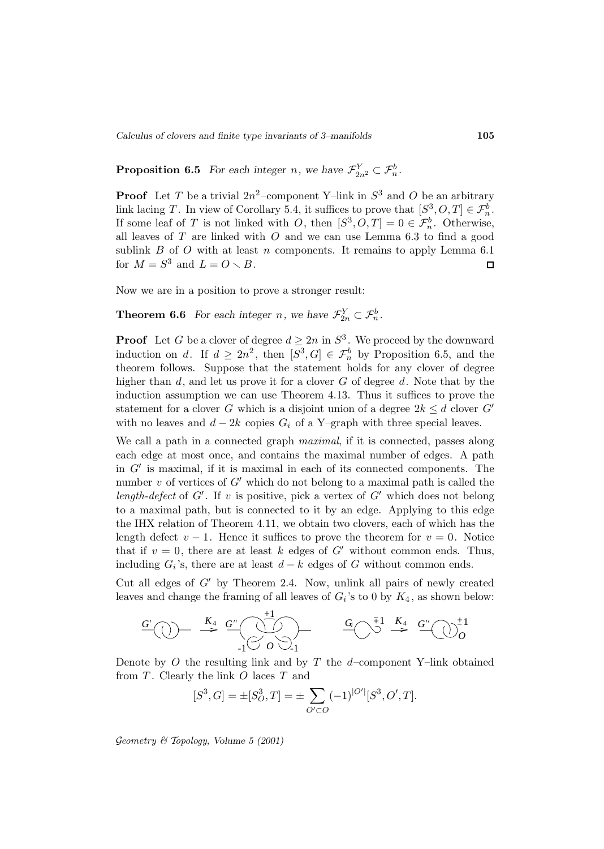*Calculus of clovers and finite type invariants of 3–manifolds* **105**

**Proposition 6.5** *For each integer n*, we have  $\mathcal{F}_{2n^2}^Y \subset \mathcal{F}_n^b$ .

**Proof** Let T be a trivial  $2n^2$ -component Y-link in  $S^3$  and O be an arbitrary link lacing T. In view of Corollary 5.4, it suffices to prove that  $[S^3, O, T] \in \mathcal{F}_n^b$ . If some leaf of T is not linked with O, then  $[S^3, O, T] = 0 \in \mathcal{F}_n^b$ . Otherwise, all leaves of  $T$  are linked with  $O$  and we can use Lemma 6.3 to find a good sublink  $B$  of  $O$  with at least  $n$  components. It remains to apply Lemma 6.1 for  $M = S^3$  and  $L = O \setminus B$ .  $\Box$ 

Now we are in a position to prove a stronger result:

**Theorem 6.6** *For each integer n*, we have  $\mathcal{F}_{2n}^Y \subset \mathcal{F}_n^b$ .

**Proof** Let G be a clover of degree  $d \geq 2n$  in  $S^3$ . We proceed by the downward induction on d. If  $d \geq 2n^2$ , then  $[S^3, G] \in \mathcal{F}_n^b$  by Proposition 6.5, and the theorem follows. Suppose that the statement holds for any clover of degree higher than  $d$ , and let us prove it for a clover  $G$  of degree  $d$ . Note that by the induction assumption we can use Theorem 4.13. Thus it suffices to prove the statement for a clover G which is a disjoint union of a degree  $2k \leq d$  clover G' with no leaves and  $d - 2k$  copies  $G_i$  of a Y–graph with three special leaves.

We call a path in a connected graph *maximal*, if it is connected, passes along each edge at most once, and contains the maximal number of edges. A path in  $G'$  is maximal, if it is maximal in each of its connected components. The number  $v$  of vertices of  $G'$  which do not belong to a maximal path is called the length-defect of  $G'$ . If v is positive, pick a vertex of  $G'$  which does not belong to a maximal path, but is connected to it by an edge. Applying to this edge the IHX relation of Theorem 4.11, we obtain two clovers, each of which has the length defect  $v - 1$ . Hence it suffices to prove the theorem for  $v = 0$ . Notice that if  $v = 0$ , there are at least k edges of G' without common ends. Thus, including  $G_i$ 's, there are at least  $d - k$  edges of G without common ends.

Cut all edges of  $G'$  by Theorem 2.4. Now, unlink all pairs of newly created leaves and change the framing of all leaves of  $G_i$ 's to 0 by  $K_4$ , as shown below:

$$
\begin{array}{ccc}\nG' \\
\hline\n\end{array}\n\begin{array}{ccc}\n\begin{array}{ccc}\n\begin{array}{ccc}\n\begin{array}{ccc}\n\begin{array}{ccc}\n\begin{array}{ccc}\n\begin{array}{ccc}\n\begin{array}{ccc}\n\begin{array}{ccc}\n\begin{array}{ccc}\n\begin{array}{ccc}\n\begin{array}{ccc}\n\end{array} & \left\langle \begin{array}{ccc}\n\end{array} & \left\langle \begin{array}{ccc}\n\end{array} & \left\langle \begin{array}{ccc}\n\end{array} & \left\langle \begin{array}{ccc}\n\end{array} & \left\langle \begin{array}{ccc}\n\end{array} & \left\langle \begin{array}{ccc}\n\end{array} & \left\langle \begin{array}{ccc}\n\end{array} & \left\langle \begin{array}{ccc}\n\end{array} & \left\langle \begin{array}{ccc}\n\end{array} & \left\langle \begin{array}{ccc}\n\end{array} & \left\langle \begin{array}{ccc}\n\end{array} & \left\langle \begin{array}{ccc}\n\end{array} & \left\langle \begin{array}{ccc}\n\end{array} & \left\langle \begin{array}{ccc}\n\end{array} & \left\langle \begin{array}{ccc}\n\end{array} & \left\langle \begin{array}{ccc}\n\end{array} & \left\langle \begin{array}{ccc}\n\end{array} & \left\langle \begin{array}{ccc}\n\end{array} & \left\langle \begin{array}{ccc}\n\end{array} & \left\langle \begin{array}{ccc}\n\end{array} & \left\langle \begin{array}{ccc}\n\end{array} & \left\langle \begin{array}{ccc}\n\end{array} & \left\langle \begin{array}{ccc}\n\end{array} & \left\langle \begin{array}{ccc}\n\end{array} & \left\langle \begin{array}{ccc}\n\end{array} & \left\langle \begin{array}{ccc}\n\end{array} & \left\langle \begin{array}{ccc}\n\end{array} & \left\langle \begin{array}{ccc}\n\end{array} & \left\langle \begin{array}{ccc}\n\end{array} & \left\langle \begin{array}{ccc}\n\end{array} & \left\langle \begin{array}{ccc}\n\end{array} & \left\langle \begin{array}{ccc}\n\end{array} & \left\langle \begin{array}{ccc}\n\end{array} & \left\langle \begin{array}{ccc}\n\end{array} & \left\langle \begin{array}{ccc}\n\end{array} & \left\langle \begin{
$$

Denote by  $O$  the resulting link and by  $T$  the  $d$ -component Y–link obtained from  $T$ . Clearly the link  $O$  laces  $T$  and

$$
[S^3, G] = \pm [S_O^3, T] = \pm \sum_{O' \subset O} (-1)^{|O'|} [S^3, O', T].
$$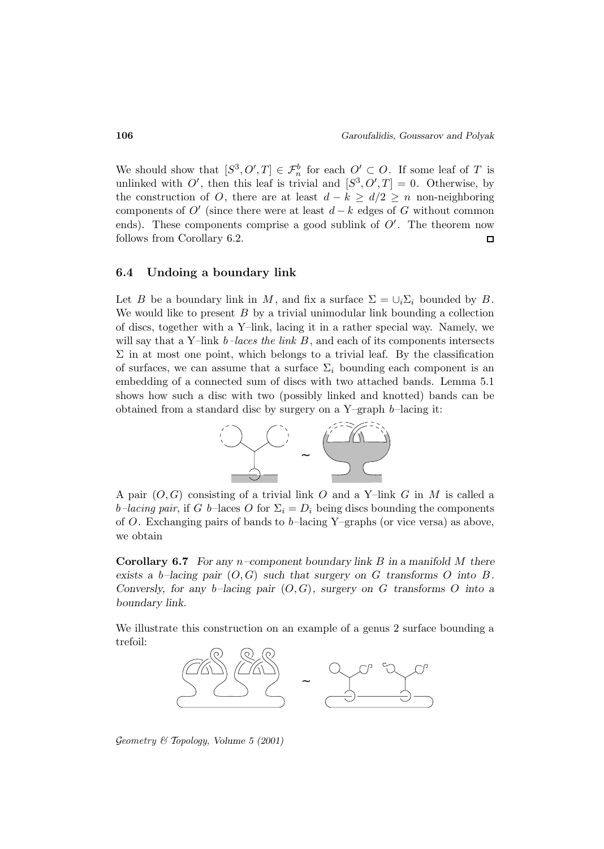We should show that  $[S^3, O', T] \in \mathcal{F}_n^b$  for each  $O' \subset O$ . If some leaf of T is unlinked with O', then this leaf is trivial and  $[S^3, O', T] = 0$ . Otherwise, by the construction of O, there are at least  $d - k \geq d/2 \geq n$  non-neighboring components of  $O'$  (since there were at least  $d - k$  edges of G without common ends). These components comprise a good sublink of  $O'$ . The theorem now follows from Corollary 6.2.  $\Box$ 

#### **6.4 Undoing a boundary link**

Let B be a boundary link in M, and fix a surface  $\Sigma = \cup_i \Sigma_i$  bounded by B. We would like to present  $B$  by a trivial unimodular link bounding a collection of discs, together with a Y–link, lacing it in a rather special way. Namely, we will say that a Y–link  $b$ –laces the link B, and each of its components intersects  $\Sigma$  in at most one point, which belongs to a trivial leaf. By the classification of surfaces, we can assume that a surface  $\Sigma_i$  bounding each component is an embedding of a connected sum of discs with two attached bands. Lemma 5.1 shows how such a disc with two (possibly linked and knotted) bands can be obtained from a standard disc by surgery on a Y–graph b–lacing it:



A pair  $(O, G)$  consisting of a trivial link O and a Y-link G in M is called a b–lacing pair, if G b–laces O for  $\Sigma_i = D_i$  being discs bounding the components of O. Exchanging pairs of bands to  $b$ -lacing Y-graphs (or vice versa) as above, we obtain

**Corollary 6.7** *For any* n*–component boundary link* B *in a manifold* M *there exists a b–lacing pair*  $(O, G)$  *such that surgery on* G *transforms* O *into* B. *Conversly, for any*  $b$ –lacing pair  $(O, G)$ *, surgery on* G transforms O into a *boundary link.*

We illustrate this construction on an example of a genus 2 surface bounding a trefoil:



Geometry & Topology*, Volume 5 (2001)*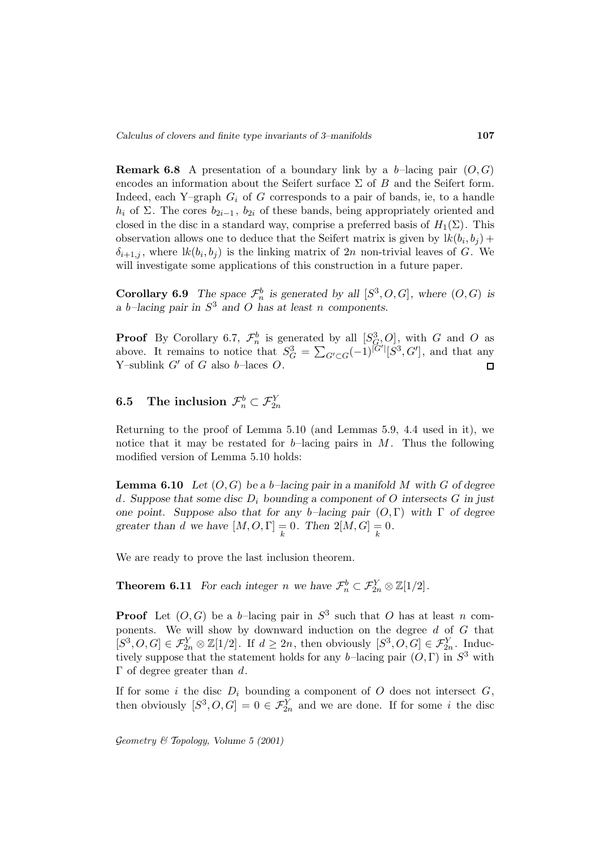**Remark 6.8** A presentation of a boundary link by a b-lacing pair  $(O, G)$ encodes an information about the Seifert surface  $\Sigma$  of B and the Seifert form. Indeed, each Y–graph  $G_i$  of G corresponds to a pair of bands, ie, to a handle  $h_i$  of  $\Sigma$ . The cores  $b_{2i-1}$ ,  $b_{2i}$  of these bands, being appropriately oriented and closed in the disc in a standard way, comprise a preferred basis of  $H_1(\Sigma)$ . This observation allows one to deduce that the Seifert matrix is given by  $lk(b_i, b_j)$  +  $\delta_{i+1,j}$ , where  $lk(b_i, b_j)$  is the linking matrix of  $2n$  non-trivial leaves of G. We will investigate some applications of this construction in a future paper.

**Corollary 6.9** *The space*  $\mathcal{F}_n^b$  *is generated by all*  $[S^3, O, G]$ *, where*  $(O, G)$  *is a* b*–lacing pair in* S<sup>3</sup> *and* O *has at least* n *components.*

**Proof** By Corollary 6.7,  $\mathcal{F}_n^b$  is generated by all  $[S_{G_n}^3 O]$ , with G and O as above. It remains to notice that  $S_G^3 = \sum_{G' \subset G} (-1)^{|G'|} [S^3, G']$ , and that any Y–sublink  $G'$  of G also b–laces O.  $\Box$ 

# $\begin{array}{ll} \textbf{6.5} & \textbf{The inclusion }\mathcal{F}^b_n \subset \mathcal{F}^Y_{2n} \end{array}$

Returning to the proof of Lemma 5.10 (and Lemmas 5.9, 4.4 used in it), we notice that it may be restated for  $b$ -lacing pairs in M. Thus the following modified version of Lemma 5.10 holds:

**Lemma 6.10** *Let* (O, G) *be a* b*–lacing pair in a manifold* M *with* G *of degree* d*. Suppose that some disc* D<sup>i</sup> *bounding a component of* O *intersects* G *in just one point. Suppose also that for any* b*–lacing pair* (O, Γ) *with* Γ *of degree greater than d* we have  $[M, O, \Gamma] = 0$ . Then  $2[M, G] = 0$ .

We are ready to prove the last inclusion theorem.

**Theorem 6.11** *For each integer n* we have  $\mathcal{F}_n^b \subset \mathcal{F}_{2n}^Y \otimes \mathbb{Z}[1/2]$ *.* 

**Proof** Let  $(O, G)$  be a b-lacing pair in  $S^3$  such that O has at least n components. We will show by downward induction on the degree  $d$  of  $G$  that  $[S^3, O, G] \in \mathcal{F}_{2n}^Y \otimes \mathbb{Z}[1/2]$ . If  $d \geq 2n$ , then obviously  $[S^3, O, G] \in \mathcal{F}_{2n}^Y$ . Inductively suppose that the statement holds for any b-lacing pair  $(O, \Gamma)$  in  $S^3$  with  $Γ$  of degree greater than d.

If for some i the disc  $D_i$  bounding a component of O does not intersect  $G$ , then obviously  $[S^3, O, G] = 0 \in \mathcal{F}_{2n}^Y$  and we are done. If for some i the disc